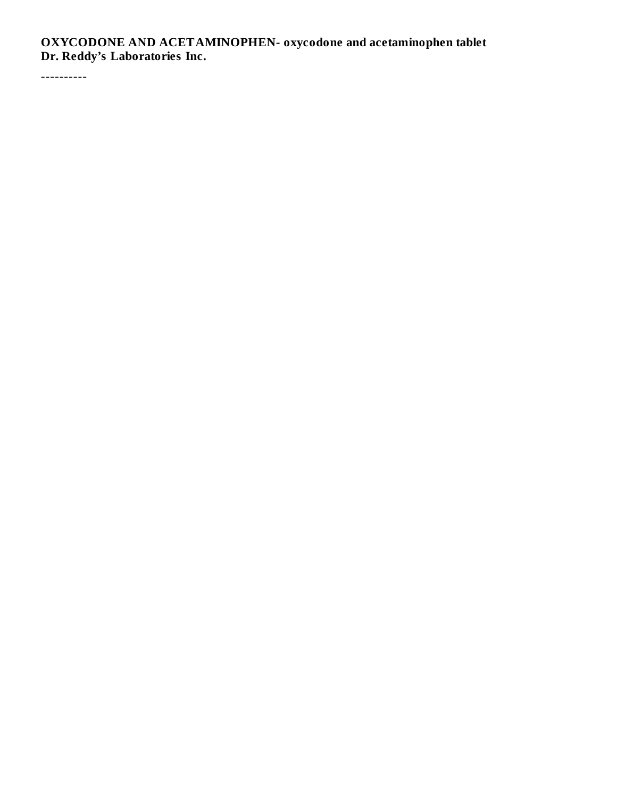#### **OXYCODONE AND ACETAMINOPHEN- oxycodone and acetaminophen tablet Dr. Reddy's Laboratories Inc.**

----------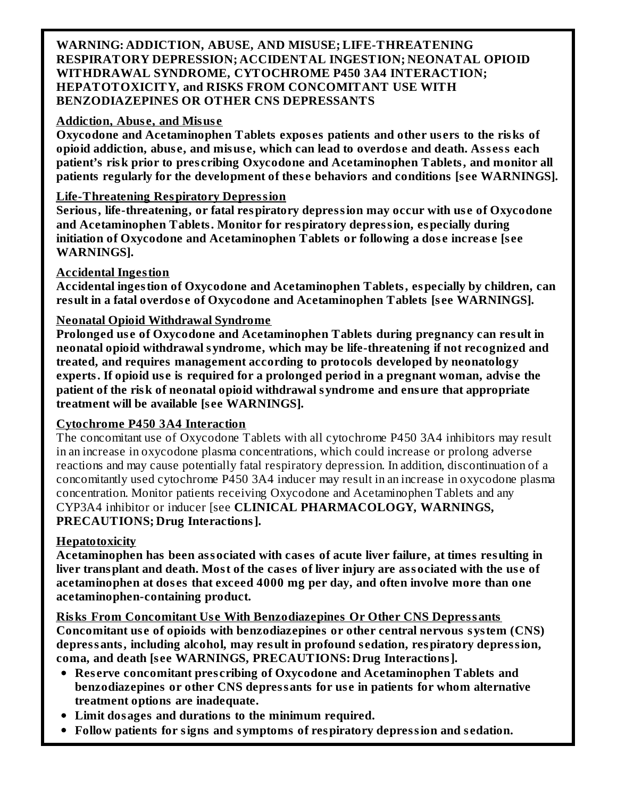#### **WARNING: ADDICTION, ABUSE, AND MISUSE; LIFE-THREATENING RESPIRATORY DEPRESSION; ACCIDENTAL INGESTION; NEONATAL OPIOID WITHDRAWAL SYNDROME, CYTOCHROME P450 3A4 INTERACTION; HEPATOTOXICITY, and RISKS FROM CONCOMITANT USE WITH BENZODIAZEPINES OR OTHER CNS DEPRESSANTS**

#### **Addiction, Abus e, and Misus e**

**Oxycodone and Acetaminophen Tablets expos es patients and other us ers to the risks of opioid addiction, abus e, and misus e, which can lead to overdos e and death. Ass ess each patient's risk prior to pres cribing Oxycodone and Acetaminophen Tablets, and monitor all patients regularly for the development of thes e behaviors and conditions [s ee WARNINGS].**

#### **Life-Threatening Respiratory Depression**

**Serious, life-threatening, or fatal respiratory depression may occur with us e of Oxycodone and Acetaminophen Tablets. Monitor for respiratory depression, especially during initiation of Oxycodone and Acetaminophen Tablets or following a dos e increas e [s ee WARNINGS].**

#### **Accidental Ingestion**

**Accidental ingestion of Oxycodone and Acetaminophen Tablets, especially by children, can result in a fatal overdos e of Oxycodone and Acetaminophen Tablets [s ee WARNINGS].**

#### **Neonatal Opioid Withdrawal Syndrome**

**Prolonged us e of Oxycodone and Acetaminophen Tablets during pregnancy can result in neonatal opioid withdrawal syndrome, which may be life-threatening if not recognized and treated, and requires management according to protocols developed by neonatology experts. If opioid us e is required for a prolonged period in a pregnant woman, advis e the patient of the risk of neonatal opioid withdrawal syndrome and ensure that appropriate treatment will be available [s ee WARNINGS].**

#### **Cytochrome P450 3A4 Interaction**

The concomitant use of Oxycodone Tablets with all cytochrome P450 3A4 inhibitors may result in an increase in oxycodone plasma concentrations, which could increase or prolong adverse reactions and may cause potentially fatal respiratory depression. In addition, discontinuation of a concomitantly used cytochrome P450 3A4 inducer may result in an increase in oxycodone plasma concentration. Monitor patients receiving Oxycodone and Acetaminophen Tablets and any CYP3A4 inhibitor or inducer [see **CLINICAL PHARMACOLOGY, WARNINGS, PRECAUTIONS; Drug Interactions].**

#### **Hepatotoxicity**

**Acetaminophen has been associated with cas es of acute liver failure, at times resulting in** liver transplant and death. Most of the cases of liver injury are associated with the use of **acetaminophen at dos es that exceed 4000 mg per day, and often involve more than one acetaminophen-containing product.**

**Risks From Concomitant Us e With Benzodiazepines Or Other CNS Depressants Concomitant us e of opioids with benzodiazepines or other central nervous system (CNS) depressants, including alcohol, may result in profound s edation, respiratory depression, coma, and death [s ee WARNINGS, PRECAUTIONS: Drug Interactions].**

- **Res erve concomitant pres cribing of Oxycodone and Acetaminophen Tablets and benzodiazepines or other CNS depressants for us e in patients for whom alternative treatment options are inadequate.**
- **Limit dosages and durations to the minimum required.**
- **Follow patients for signs and symptoms of respiratory depression and s edation.**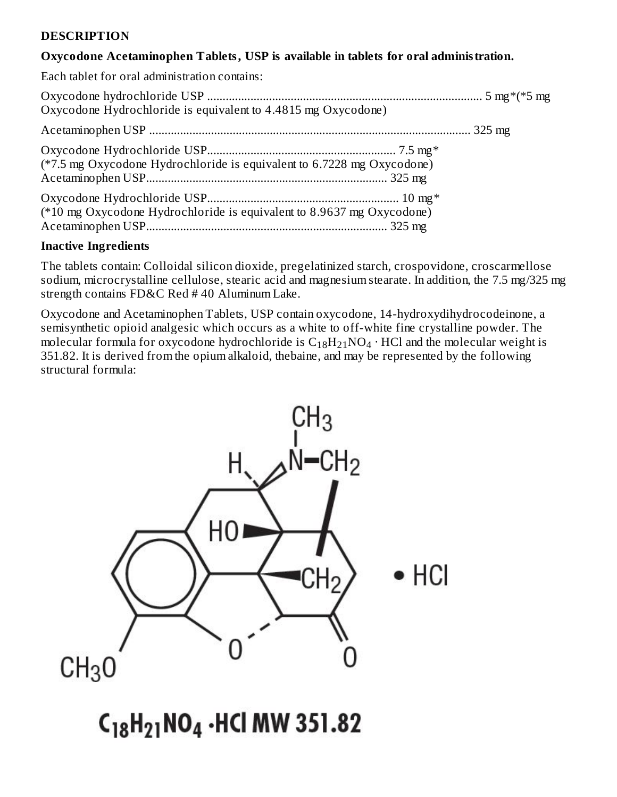#### **DESCRIPTION**

#### **Oxycodone Acetaminophen Tablets, USP is available in tablets for oral administration.**

Each tablet for oral administration contains:

| Oxycodone Hydrochloride is equivalent to 4.4815 mg Oxycodone)          |  |
|------------------------------------------------------------------------|--|
|                                                                        |  |
| (*7.5 mg Oxycodone Hydrochloride is equivalent to 6.7228 mg Oxycodone) |  |
| (*10 mg Oxycodone Hydrochloride is equivalent to 8.9637 mg Oxycodone)  |  |

#### **Inactive Ingredients**

The tablets contain: Colloidal silicon dioxide, pregelatinized starch, crospovidone, croscarmellose sodium, microcrystalline cellulose, stearic acid and magnesium stearate. In addition, the 7.5 mg/325 mg strength contains FD&C Red # 40 Aluminum Lake.

Oxycodone and Acetaminophen Tablets, USP contain oxycodone, 14-hydroxydihydrocodeinone, a semisynthetic opioid analgesic which occurs as a white to off-white fine crystalline powder. The molecular formula for oxycodone hydrochloride is  $\rm{C_{18}H_{21}NO_4 \cdot HCl}$  and the molecular weight is 351.82. It is derived from the opium alkaloid, thebaine, and may be represented by the following structural formula:



# $C_{18}H_{21}NO_4$  -HCl MW 351.82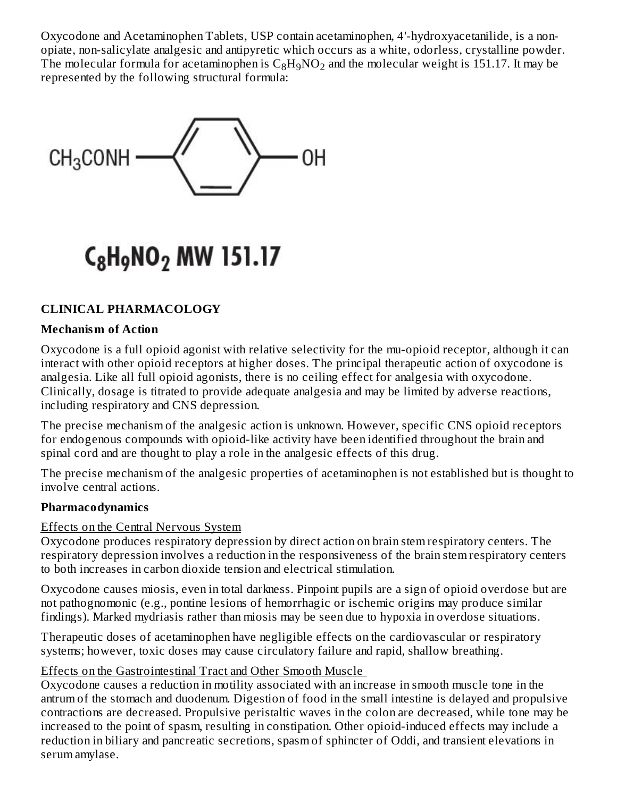Oxycodone and Acetaminophen Tablets, USP contain acetaminophen, 4'-hydroxyacetanilide, is a nonopiate, non-salicylate analgesic and antipyretic which occurs as a white, odorless, crystalline powder. The molecular formula for acetaminophen is  $\rm{C_8H_9NO_2}$  and the molecular weight is 151.17. It may be represented by the following structural formula:

 $CH<sub>3</sub>CONH$  -OΗ

# $C_8H_9NO_2$  MW 151.17

# **CLINICAL PHARMACOLOGY**

#### **Mechanism of Action**

Oxycodone is a full opioid agonist with relative selectivity for the mu-opioid receptor, although it can interact with other opioid receptors at higher doses. The principal therapeutic action of oxycodone is analgesia. Like all full opioid agonists, there is no ceiling effect for analgesia with oxycodone. Clinically, dosage is titrated to provide adequate analgesia and may be limited by adverse reactions, including respiratory and CNS depression.

The precise mechanism of the analgesic action is unknown. However, specific CNS opioid receptors for endogenous compounds with opioid-like activity have been identified throughout the brain and spinal cord and are thought to play a role in the analgesic effects of this drug.

The precise mechanism of the analgesic properties of acetaminophen is not established but is thought to involve central actions.

#### **Pharmacodynamics**

#### Effects on the Central Nervous System

Oxycodone produces respiratory depression by direct action on brain stem respiratory centers. The respiratory depression involves a reduction in the responsiveness of the brain stem respiratory centers to both increases in carbon dioxide tension and electrical stimulation.

Oxycodone causes miosis, even in total darkness. Pinpoint pupils are a sign of opioid overdose but are not pathognomonic (e.g., pontine lesions of hemorrhagic or ischemic origins may produce similar findings). Marked mydriasis rather than miosis may be seen due to hypoxia in overdose situations.

Therapeutic doses of acetaminophen have negligible effects on the cardiovascular or respiratory systems; however, toxic doses may cause circulatory failure and rapid, shallow breathing.

#### Effects on the Gastrointestinal Tract and Other Smooth Muscle

Oxycodone causes a reduction in motility associated with an increase in smooth muscle tone in the antrum of the stomach and duodenum. Digestion of food in the small intestine is delayed and propulsive contractions are decreased. Propulsive peristaltic waves in the colon are decreased, while tone may be increased to the point of spasm, resulting in constipation. Other opioid-induced effects may include a reduction in biliary and pancreatic secretions, spasm of sphincter of Oddi, and transient elevations in serum amylase.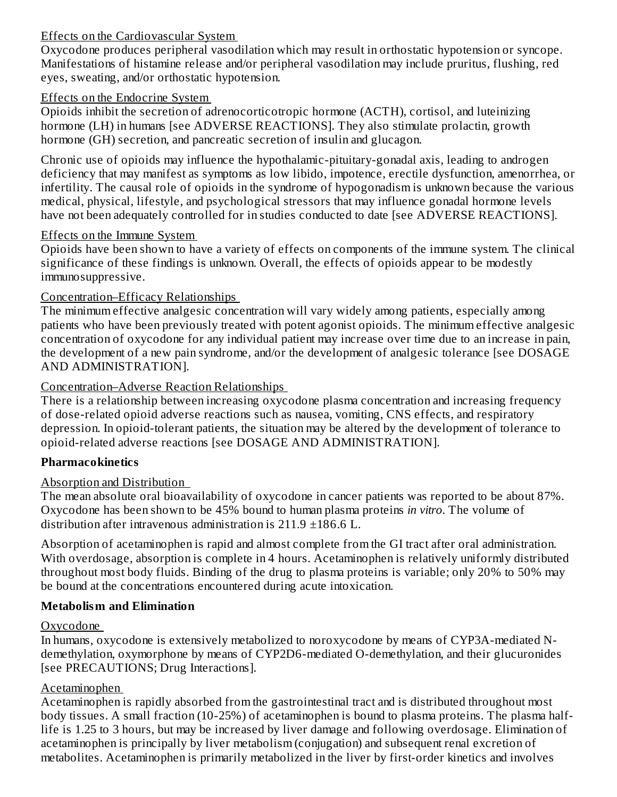## Effects on the Cardiovascular System

Oxycodone produces peripheral vasodilation which may result in orthostatic hypotension or syncope. Manifestations of histamine release and/or peripheral vasodilation may include pruritus, flushing, red eyes, sweating, and/or orthostatic hypotension.

## Effects on the Endocrine System

Opioids inhibit the secretion of adrenocorticotropic hormone (ACTH), cortisol, and luteinizing hormone (LH) in humans [see ADVERSE REACTIONS]. They also stimulate prolactin, growth hormone (GH) secretion, and pancreatic secretion of insulin and glucagon.

Chronic use of opioids may influence the hypothalamic-pituitary-gonadal axis, leading to androgen deficiency that may manifest as symptoms as low libido, impotence, erectile dysfunction, amenorrhea, or infertility. The causal role of opioids in the syndrome of hypogonadism is unknown because the various medical, physical, lifestyle, and psychological stressors that may influence gonadal hormone levels have not been adequately controlled for in studies conducted to date [see ADVERSE REACTIONS].

#### Effects on the Immune System

Opioids have been shown to have a variety of effects on components of the immune system. The clinical significance of these findings is unknown. Overall, the effects of opioids appear to be modestly immunosuppressive.

## Concentration–Efficacy Relationships

The minimum effective analgesic concentration will vary widely among patients, especially among patients who have been previously treated with potent agonist opioids. The minimum effective analgesic concentration of oxycodone for any individual patient may increase over time due to an increase in pain, the development of a new pain syndrome, and/or the development of analgesic tolerance [see DOSAGE AND ADMINISTRATION].

## Concentration–Adverse Reaction Relationships

There is a relationship between increasing oxycodone plasma concentration and increasing frequency of dose-related opioid adverse reactions such as nausea, vomiting, CNS effects, and respiratory depression. In opioid-tolerant patients, the situation may be altered by the development of tolerance to opioid-related adverse reactions [see DOSAGE AND ADMINISTRATION].

## **Pharmacokinetics**

## Absorption and Distribution

The mean absolute oral bioavailability of oxycodone in cancer patients was reported to be about 87%. Oxycodone has been shown to be 45% bound to human plasma proteins *in vitro*. The volume of distribution after intravenous administration is  $211.9 \pm 186.6$  L.

Absorption of acetaminophen is rapid and almost complete from the GI tract after oral administration. With overdosage, absorption is complete in 4 hours. Acetaminophen is relatively uniformly distributed throughout most body fluids. Binding of the drug to plasma proteins is variable; only 20% to 50% may be bound at the concentrations encountered during acute intoxication.

## **Metabolism and Elimination**

## Oxycodone

In humans, oxycodone is extensively metabolized to noroxycodone by means of CYP3A-mediated Ndemethylation, oxymorphone by means of CYP2D6-mediated O-demethylation, and their glucuronides [see PRECAUTIONS; Drug Interactions].

## Acetaminophen

Acetaminophen is rapidly absorbed from the gastrointestinal tract and is distributed throughout most body tissues. A small fraction (10-25%) of acetaminophen is bound to plasma proteins. The plasma halflife is 1.25 to 3 hours, but may be increased by liver damage and following overdosage. Elimination of acetaminophen is principally by liver metabolism (conjugation) and subsequent renal excretion of metabolites. Acetaminophen is primarily metabolized in the liver by first-order kinetics and involves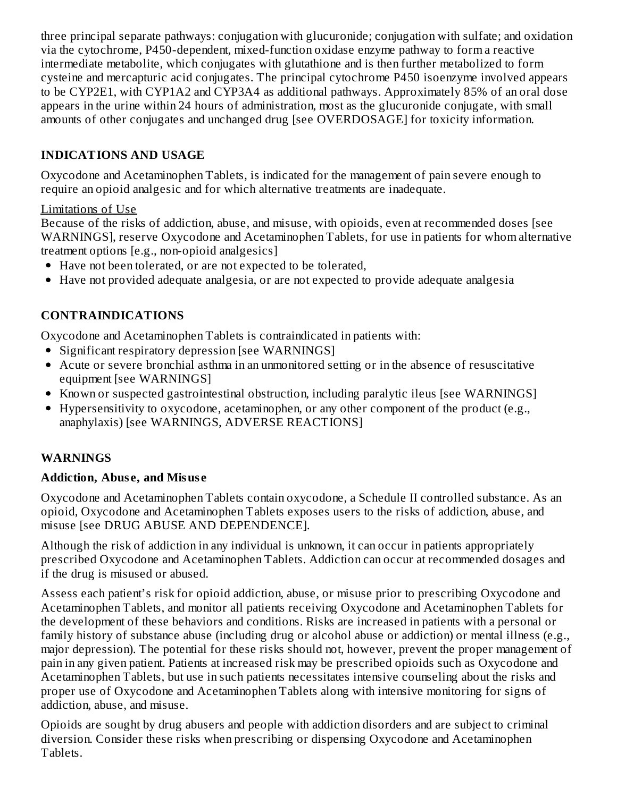three principal separate pathways: conjugation with glucuronide; conjugation with sulfate; and oxidation via the cytochrome, P450-dependent, mixed-function oxidase enzyme pathway to form a reactive intermediate metabolite, which conjugates with glutathione and is then further metabolized to form cysteine and mercapturic acid conjugates. The principal cytochrome P450 isoenzyme involved appears to be CYP2E1, with CYP1A2 and CYP3A4 as additional pathways. Approximately 85% of an oral dose appears in the urine within 24 hours of administration, most as the glucuronide conjugate, with small amounts of other conjugates and unchanged drug [see OVERDOSAGE] for toxicity information.

# **INDICATIONS AND USAGE**

Oxycodone and Acetaminophen Tablets, is indicated for the management of pain severe enough to require an opioid analgesic and for which alternative treatments are inadequate.

## Limitations of Use

Because of the risks of addiction, abuse, and misuse, with opioids, even at recommended doses [see WARNINGS], reserve Oxycodone and Acetaminophen Tablets, for use in patients for whom alternative treatment options [e.g., non-opioid analgesics]

- Have not been tolerated, or are not expected to be tolerated,
- Have not provided adequate analgesia, or are not expected to provide adequate analgesia

# **CONTRAINDICATIONS**

Oxycodone and Acetaminophen Tablets is contraindicated in patients with:

- Significant respiratory depression [see WARNINGS]
- Acute or severe bronchial asthma in an unmonitored setting or in the absence of resuscitative equipment [see WARNINGS]
- Known or suspected gastrointestinal obstruction, including paralytic ileus [see WARNINGS]
- Hypersensitivity to oxycodone, acetaminophen, or any other component of the product (e.g., anaphylaxis) [see WARNINGS, ADVERSE REACTIONS]

## **WARNINGS**

#### **Addiction, Abus e, and Misus e**

Oxycodone and Acetaminophen Tablets contain oxycodone, a Schedule II controlled substance. As an opioid, Oxycodone and Acetaminophen Tablets exposes users to the risks of addiction, abuse, and misuse [see DRUG ABUSE AND DEPENDENCE].

Although the risk of addiction in any individual is unknown, it can occur in patients appropriately prescribed Oxycodone and Acetaminophen Tablets. Addiction can occur at recommended dosages and if the drug is misused or abused.

Assess each patient's risk for opioid addiction, abuse, or misuse prior to prescribing Oxycodone and Acetaminophen Tablets, and monitor all patients receiving Oxycodone and Acetaminophen Tablets for the development of these behaviors and conditions. Risks are increased in patients with a personal or family history of substance abuse (including drug or alcohol abuse or addiction) or mental illness (e.g., major depression). The potential for these risks should not, however, prevent the proper management of pain in any given patient. Patients at increased risk may be prescribed opioids such as Oxycodone and Acetaminophen Tablets, but use in such patients necessitates intensive counseling about the risks and proper use of Oxycodone and Acetaminophen Tablets along with intensive monitoring for signs of addiction, abuse, and misuse.

Opioids are sought by drug abusers and people with addiction disorders and are subject to criminal diversion. Consider these risks when prescribing or dispensing Oxycodone and Acetaminophen Tablets.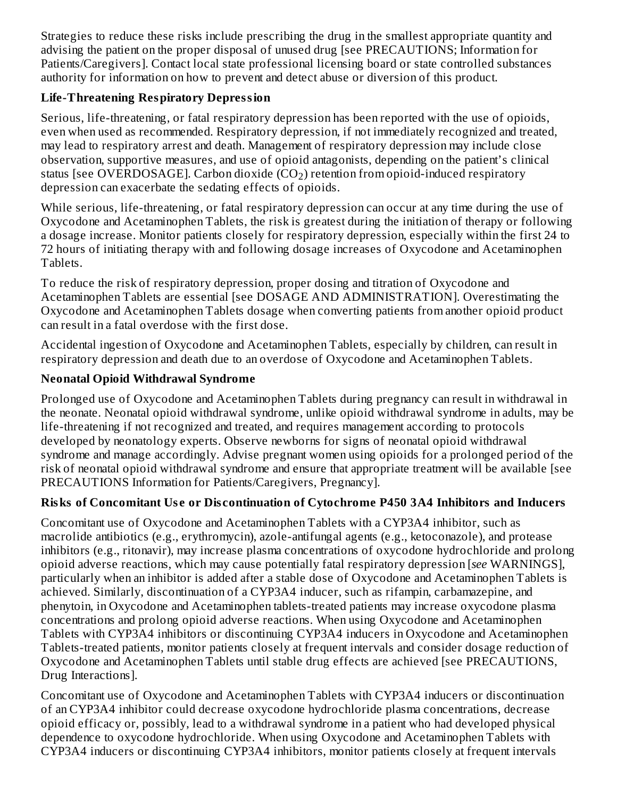Strategies to reduce these risks include prescribing the drug in the smallest appropriate quantity and advising the patient on the proper disposal of unused drug [see PRECAUTIONS; Information for Patients/Caregivers]. Contact local state professional licensing board or state controlled substances authority for information on how to prevent and detect abuse or diversion of this product.

# **Life-Threatening Respiratory Depression**

Serious, life-threatening, or fatal respiratory depression has been reported with the use of opioids, even when used as recommended. Respiratory depression, if not immediately recognized and treated, may lead to respiratory arrest and death. Management of respiratory depression may include close observation, supportive measures, and use of opioid antagonists, depending on the patient's clinical status [see OVERDOSAGE]. Carbon dioxide  $(\mathrm{CO}_2)$  retention from opioid-induced respiratory depression can exacerbate the sedating effects of opioids.

While serious, life-threatening, or fatal respiratory depression can occur at any time during the use of Oxycodone and Acetaminophen Tablets, the risk is greatest during the initiation of therapy or following a dosage increase. Monitor patients closely for respiratory depression, especially within the first 24 to 72 hours of initiating therapy with and following dosage increases of Oxycodone and Acetaminophen Tablets.

To reduce the risk of respiratory depression, proper dosing and titration of Oxycodone and Acetaminophen Tablets are essential [see DOSAGE AND ADMINISTRATION]. Overestimating the Oxycodone and Acetaminophen Tablets dosage when converting patients from another opioid product can result in a fatal overdose with the first dose.

Accidental ingestion of Oxycodone and Acetaminophen Tablets, especially by children, can result in respiratory depression and death due to an overdose of Oxycodone and Acetaminophen Tablets.

## **Neonatal Opioid Withdrawal Syndrome**

Prolonged use of Oxycodone and Acetaminophen Tablets during pregnancy can result in withdrawal in the neonate. Neonatal opioid withdrawal syndrome, unlike opioid withdrawal syndrome in adults, may be life-threatening if not recognized and treated, and requires management according to protocols developed by neonatology experts. Observe newborns for signs of neonatal opioid withdrawal syndrome and manage accordingly. Advise pregnant women using opioids for a prolonged period of the risk of neonatal opioid withdrawal syndrome and ensure that appropriate treatment will be available [see PRECAUTIONS Information for Patients/Caregivers, Pregnancy].

# **Risks of Concomitant Us e or Dis continuation of Cytochrome P450 3A4 Inhibitors and Inducers**

Concomitant use of Oxycodone and Acetaminophen Tablets with a CYP3A4 inhibitor, such as macrolide antibiotics (e.g., erythromycin), azole-antifungal agents (e.g., ketoconazole), and protease inhibitors (e.g., ritonavir), may increase plasma concentrations of oxycodone hydrochloride and prolong opioid adverse reactions, which may cause potentially fatal respiratory depression [*see* WARNINGS], particularly when an inhibitor is added after a stable dose of Oxycodone and Acetaminophen Tablets is achieved. Similarly, discontinuation of a CYP3A4 inducer, such as rifampin, carbamazepine, and phenytoin, in Oxycodone and Acetaminophen tablets-treated patients may increase oxycodone plasma concentrations and prolong opioid adverse reactions. When using Oxycodone and Acetaminophen Tablets with CYP3A4 inhibitors or discontinuing CYP3A4 inducers in Oxycodone and Acetaminophen Tablets-treated patients, monitor patients closely at frequent intervals and consider dosage reduction of Oxycodone and Acetaminophen Tablets until stable drug effects are achieved [see PRECAUTIONS, Drug Interactions].

Concomitant use of Oxycodone and Acetaminophen Tablets with CYP3A4 inducers or discontinuation of an CYP3A4 inhibitor could decrease oxycodone hydrochloride plasma concentrations, decrease opioid efficacy or, possibly, lead to a withdrawal syndrome in a patient who had developed physical dependence to oxycodone hydrochloride. When using Oxycodone and Acetaminophen Tablets with CYP3A4 inducers or discontinuing CYP3A4 inhibitors, monitor patients closely at frequent intervals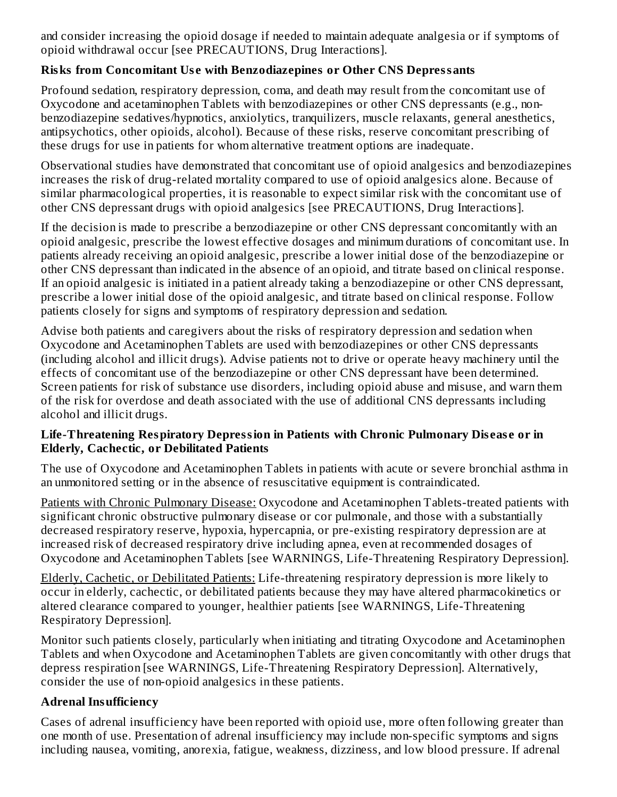and consider increasing the opioid dosage if needed to maintain adequate analgesia or if symptoms of opioid withdrawal occur [see PRECAUTIONS, Drug Interactions].

# **Risks from Concomitant Us e with Benzodiazepines or Other CNS Depressants**

Profound sedation, respiratory depression, coma, and death may result from the concomitant use of Oxycodone and acetaminophen Tablets with benzodiazepines or other CNS depressants (e.g., nonbenzodiazepine sedatives/hypnotics, anxiolytics, tranquilizers, muscle relaxants, general anesthetics, antipsychotics, other opioids, alcohol). Because of these risks, reserve concomitant prescribing of these drugs for use in patients for whom alternative treatment options are inadequate.

Observational studies have demonstrated that concomitant use of opioid analgesics and benzodiazepines increases the risk of drug-related mortality compared to use of opioid analgesics alone. Because of similar pharmacological properties, it is reasonable to expect similar risk with the concomitant use of other CNS depressant drugs with opioid analgesics [see PRECAUTIONS, Drug Interactions].

If the decision is made to prescribe a benzodiazepine or other CNS depressant concomitantly with an opioid analgesic, prescribe the lowest effective dosages and minimum durations of concomitant use. In patients already receiving an opioid analgesic, prescribe a lower initial dose of the benzodiazepine or other CNS depressant than indicated in the absence of an opioid, and titrate based on clinical response. If an opioid analgesic is initiated in a patient already taking a benzodiazepine or other CNS depressant, prescribe a lower initial dose of the opioid analgesic, and titrate based on clinical response. Follow patients closely for signs and symptoms of respiratory depression and sedation.

Advise both patients and caregivers about the risks of respiratory depression and sedation when Oxycodone and Acetaminophen Tablets are used with benzodiazepines or other CNS depressants (including alcohol and illicit drugs). Advise patients not to drive or operate heavy machinery until the effects of concomitant use of the benzodiazepine or other CNS depressant have been determined. Screen patients for risk of substance use disorders, including opioid abuse and misuse, and warn them of the risk for overdose and death associated with the use of additional CNS depressants including alcohol and illicit drugs.

#### **Life-Threatening Respiratory Depression in Patients with Chronic Pulmonary Dis eas e or in Elderly, Cachectic, or Debilitated Patients**

The use of Oxycodone and Acetaminophen Tablets in patients with acute or severe bronchial asthma in an unmonitored setting or in the absence of resuscitative equipment is contraindicated.

Patients with Chronic Pulmonary Disease: Oxycodone and Acetaminophen Tablets-treated patients with significant chronic obstructive pulmonary disease or cor pulmonale, and those with a substantially decreased respiratory reserve, hypoxia, hypercapnia, or pre-existing respiratory depression are at increased risk of decreased respiratory drive including apnea, even at recommended dosages of Oxycodone and Acetaminophen Tablets [see WARNINGS, Life-Threatening Respiratory Depression].

Elderly, Cachetic, or Debilitated Patients: Life-threatening respiratory depression is more likely to occur in elderly, cachectic, or debilitated patients because they may have altered pharmacokinetics or altered clearance compared to younger, healthier patients [see WARNINGS, Life-Threatening Respiratory Depression].

Monitor such patients closely, particularly when initiating and titrating Oxycodone and Acetaminophen Tablets and when Oxycodone and Acetaminophen Tablets are given concomitantly with other drugs that depress respiration [see WARNINGS, Life-Threatening Respiratory Depression]. Alternatively, consider the use of non-opioid analgesics in these patients.

## **Adrenal Insufficiency**

Cases of adrenal insufficiency have been reported with opioid use, more often following greater than one month of use. Presentation of adrenal insufficiency may include non-specific symptoms and signs including nausea, vomiting, anorexia, fatigue, weakness, dizziness, and low blood pressure. If adrenal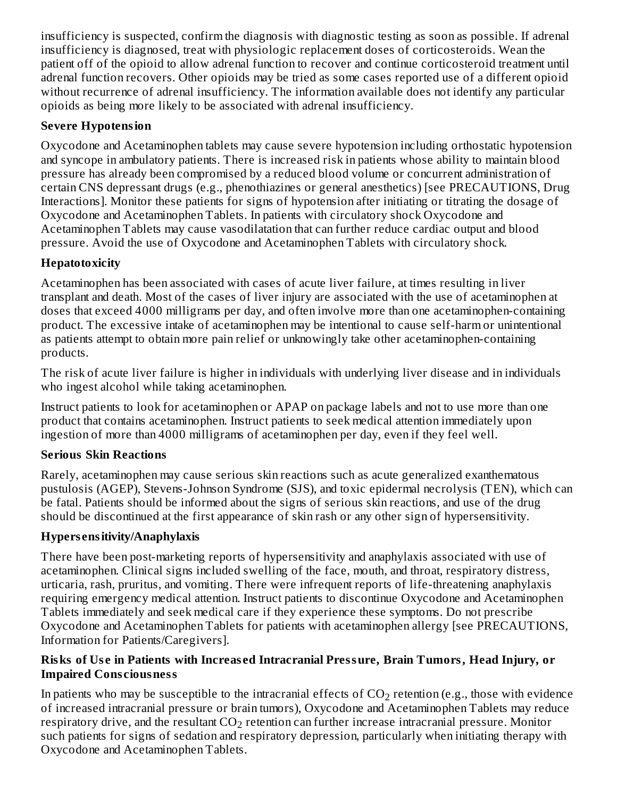insufficiency is suspected, confirm the diagnosis with diagnostic testing as soon as possible. If adrenal insufficiency is diagnosed, treat with physiologic replacement doses of corticosteroids. Wean the patient off of the opioid to allow adrenal function to recover and continue corticosteroid treatment until adrenal function recovers. Other opioids may be tried as some cases reported use of a different opioid without recurrence of adrenal insufficiency. The information available does not identify any particular opioids as being more likely to be associated with adrenal insufficiency.

# **Severe Hypotension**

Oxycodone and Acetaminophen tablets may cause severe hypotension including orthostatic hypotension and syncope in ambulatory patients. There is increased risk in patients whose ability to maintain blood pressure has already been compromised by a reduced blood volume or concurrent administration of certain CNS depressant drugs (e.g., phenothiazines or general anesthetics) [see PRECAUTIONS, Drug Interactions]. Monitor these patients for signs of hypotension after initiating or titrating the dosage of Oxycodone and Acetaminophen Tablets. In patients with circulatory shock Oxycodone and Acetaminophen Tablets may cause vasodilatation that can further reduce cardiac output and blood pressure. Avoid the use of Oxycodone and Acetaminophen Tablets with circulatory shock.

# **Hepatotoxicity**

Acetaminophen has been associated with cases of acute liver failure, at times resulting in liver transplant and death. Most of the cases of liver injury are associated with the use of acetaminophen at doses that exceed 4000 milligrams per day, and often involve more than one acetaminophen-containing product. The excessive intake of acetaminophen may be intentional to cause self-harm or unintentional as patients attempt to obtain more pain relief or unknowingly take other acetaminophen-containing products.

The risk of acute liver failure is higher in individuals with underlying liver disease and in individuals who ingest alcohol while taking acetaminophen.

Instruct patients to look for acetaminophen or APAP on package labels and not to use more than one product that contains acetaminophen. Instruct patients to seek medical attention immediately upon ingestion of more than 4000 milligrams of acetaminophen per day, even if they feel well.

# **Serious Skin Reactions**

Rarely, acetaminophen may cause serious skin reactions such as acute generalized exanthematous pustulosis (AGEP), Stevens-Johnson Syndrome (SJS), and toxic epidermal necrolysis (TEN), which can be fatal. Patients should be informed about the signs of serious skin reactions, and use of the drug should be discontinued at the first appearance of skin rash or any other sign of hypersensitivity.

# **Hypers ensitivity/Anaphylaxis**

There have been post-marketing reports of hypersensitivity and anaphylaxis associated with use of acetaminophen. Clinical signs included swelling of the face, mouth, and throat, respiratory distress, urticaria, rash, pruritus, and vomiting. There were infrequent reports of life-threatening anaphylaxis requiring emergency medical attention. Instruct patients to discontinue Oxycodone and Acetaminophen Tablets immediately and seek medical care if they experience these symptoms. Do not prescribe Oxycodone and Acetaminophen Tablets for patients with acetaminophen allergy [see PRECAUTIONS, Information for Patients/Caregivers].

## **Risks of Us e in Patients with Increas ed Intracranial Pressure, Brain Tumors, Head Injury, or Impaired Cons ciousness**

In patients who may be susceptible to the intracranial effects of  $\mathrm{CO}_2$  retention (e.g., those with evidence of increased intracranial pressure or brain tumors), Oxycodone and Acetaminophen Tablets may reduce respiratory drive, and the resultant  $\mathrm{CO}_2$  retention can further increase intracranial pressure. Monitor such patients for signs of sedation and respiratory depression, particularly when initiating therapy with Oxycodone and Acetaminophen Tablets.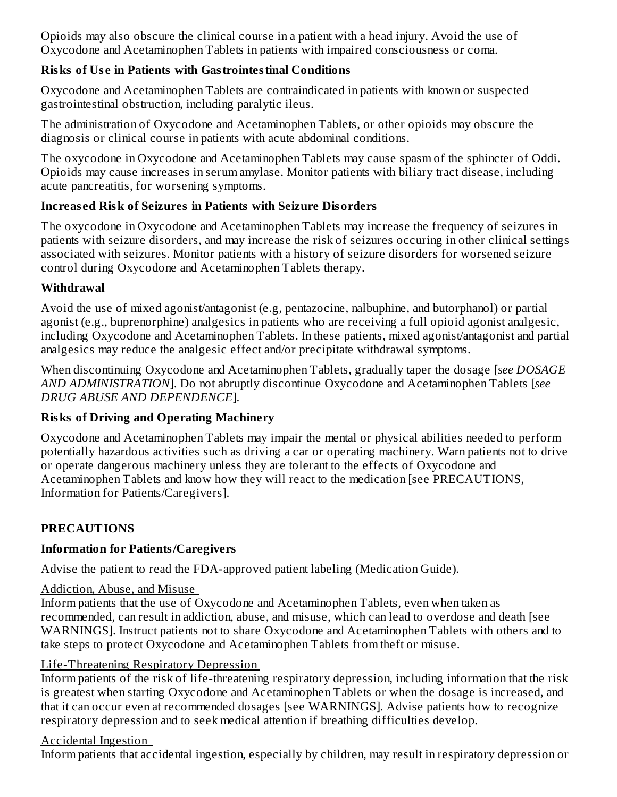Opioids may also obscure the clinical course in a patient with a head injury. Avoid the use of Oxycodone and Acetaminophen Tablets in patients with impaired consciousness or coma.

## **Risks of Us e in Patients with Gastrointestinal Conditions**

Oxycodone and Acetaminophen Tablets are contraindicated in patients with known or suspected gastrointestinal obstruction, including paralytic ileus.

The administration of Oxycodone and Acetaminophen Tablets, or other opioids may obscure the diagnosis or clinical course in patients with acute abdominal conditions.

The oxycodone in Oxycodone and Acetaminophen Tablets may cause spasm of the sphincter of Oddi. Opioids may cause increases in serum amylase. Monitor patients with biliary tract disease, including acute pancreatitis, for worsening symptoms.

# **Increas ed Risk of Seizures in Patients with Seizure Disorders**

The oxycodone in Oxycodone and Acetaminophen Tablets may increase the frequency of seizures in patients with seizure disorders, and may increase the risk of seizures occuring in other clinical settings associated with seizures. Monitor patients with a history of seizure disorders for worsened seizure control during Oxycodone and Acetaminophen Tablets therapy.

## **Withdrawal**

Avoid the use of mixed agonist/antagonist (e.g, pentazocine, nalbuphine, and butorphanol) or partial agonist (e.g., buprenorphine) analgesics in patients who are receiving a full opioid agonist analgesic, including Oxycodone and Acetaminophen Tablets. In these patients, mixed agonist/antagonist and partial analgesics may reduce the analgesic effect and/or precipitate withdrawal symptoms.

When discontinuing Oxycodone and Acetaminophen Tablets, gradually taper the dosage [*see DOSAGE AND ADMINISTRATION*]. Do not abruptly discontinue Oxycodone and Acetaminophen Tablets [*see DRUG ABUSE AND DEPENDENCE*].

## **Risks of Driving and Operating Machinery**

Oxycodone and Acetaminophen Tablets may impair the mental or physical abilities needed to perform potentially hazardous activities such as driving a car or operating machinery. Warn patients not to drive or operate dangerous machinery unless they are tolerant to the effects of Oxycodone and Acetaminophen Tablets and know how they will react to the medication [see PRECAUTIONS, Information for Patients/Caregivers].

# **PRECAUTIONS**

## **Information for Patients/Caregivers**

Advise the patient to read the FDA-approved patient labeling (Medication Guide).

## Addiction, Abuse, and Misuse

Inform patients that the use of Oxycodone and Acetaminophen Tablets, even when taken as recommended, can result in addiction, abuse, and misuse, which can lead to overdose and death [see WARNINGS]. Instruct patients not to share Oxycodone and Acetaminophen Tablets with others and to take steps to protect Oxycodone and Acetaminophen Tablets from theft or misuse.

## Life-Threatening Respiratory Depression

Inform patients of the risk of life-threatening respiratory depression, including information that the risk is greatest when starting Oxycodone and Acetaminophen Tablets or when the dosage is increased, and that it can occur even at recommended dosages [see WARNINGS]. Advise patients how to recognize respiratory depression and to seek medical attention if breathing difficulties develop.

## Accidental Ingestion

Inform patients that accidental ingestion, especially by children, may result in respiratory depression or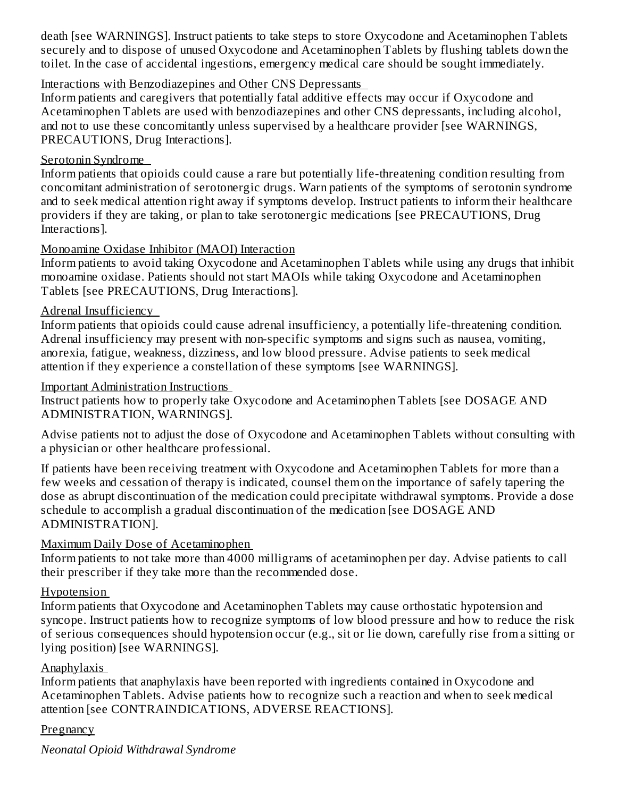death [see WARNINGS]. Instruct patients to take steps to store Oxycodone and Acetaminophen Tablets securely and to dispose of unused Oxycodone and Acetaminophen Tablets by flushing tablets down the toilet. In the case of accidental ingestions, emergency medical care should be sought immediately.

#### Interactions with Benzodiazepines and Other CNS Depressants

Inform patients and caregivers that potentially fatal additive effects may occur if Oxycodone and Acetaminophen Tablets are used with benzodiazepines and other CNS depressants, including alcohol, and not to use these concomitantly unless supervised by a healthcare provider [see WARNINGS, PRECAUTIONS, Drug Interactions].

#### Serotonin Syndrome

Inform patients that opioids could cause a rare but potentially life-threatening condition resulting from concomitant administration of serotonergic drugs. Warn patients of the symptoms of serotonin syndrome and to seek medical attention right away if symptoms develop. Instruct patients to inform their healthcare providers if they are taking, or plan to take serotonergic medications [see PRECAUTIONS, Drug Interactions].

#### Monoamine Oxidase Inhibitor (MAOI) Interaction

Inform patients to avoid taking Oxycodone and Acetaminophen Tablets while using any drugs that inhibit monoamine oxidase. Patients should not start MAOIs while taking Oxycodone and Acetaminophen Tablets [see PRECAUTIONS, Drug Interactions].

#### Adrenal Insufficiency

Inform patients that opioids could cause adrenal insufficiency, a potentially life-threatening condition. Adrenal insufficiency may present with non-specific symptoms and signs such as nausea, vomiting, anorexia, fatigue, weakness, dizziness, and low blood pressure. Advise patients to seek medical attention if they experience a constellation of these symptoms [see WARNINGS].

#### Important Administration Instructions

Instruct patients how to properly take Oxycodone and Acetaminophen Tablets [see DOSAGE AND ADMINISTRATION, WARNINGS].

Advise patients not to adjust the dose of Oxycodone and Acetaminophen Tablets without consulting with a physician or other healthcare professional.

If patients have been receiving treatment with Oxycodone and Acetaminophen Tablets for more than a few weeks and cessation of therapy is indicated, counsel them on the importance of safely tapering the dose as abrupt discontinuation of the medication could precipitate withdrawal symptoms. Provide a dose schedule to accomplish a gradual discontinuation of the medication [see DOSAGE AND ADMINISTRATION].

## Maximum Daily Dose of Acetaminophen

Inform patients to not take more than 4000 milligrams of acetaminophen per day. Advise patients to call their prescriber if they take more than the recommended dose.

#### Hypotension

Inform patients that Oxycodone and Acetaminophen Tablets may cause orthostatic hypotension and syncope. Instruct patients how to recognize symptoms of low blood pressure and how to reduce the risk of serious consequences should hypotension occur (e.g., sit or lie down, carefully rise from a sitting or lying position) [see WARNINGS].

#### Anaphylaxis

Inform patients that anaphylaxis have been reported with ingredients contained in Oxycodone and Acetaminophen Tablets. Advise patients how to recognize such a reaction and when to seek medical attention [see CONTRAINDICATIONS, ADVERSE REACTIONS].

#### Pregnancy

*Neonatal Opioid Withdrawal Syndrome*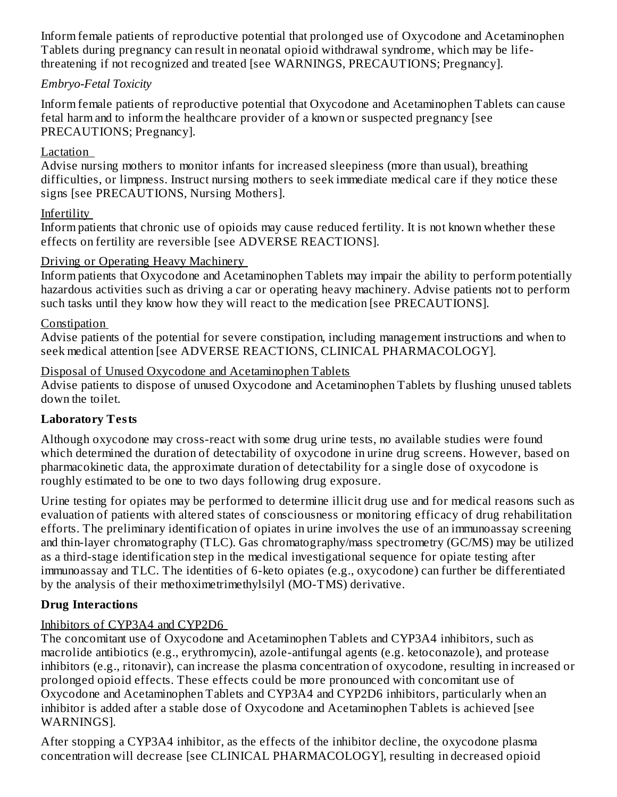Inform female patients of reproductive potential that prolonged use of Oxycodone and Acetaminophen Tablets during pregnancy can result in neonatal opioid withdrawal syndrome, which may be lifethreatening if not recognized and treated [see WARNINGS, PRECAUTIONS; Pregnancy].

## *Embryo-Fetal Toxicity*

Inform female patients of reproductive potential that Oxycodone and Acetaminophen Tablets can cause fetal harm and to inform the healthcare provider of a known or suspected pregnancy [see PRECAUTIONS; Pregnancy].

## Lactation

Advise nursing mothers to monitor infants for increased sleepiness (more than usual), breathing difficulties, or limpness. Instruct nursing mothers to seek immediate medical care if they notice these signs [see PRECAUTIONS, Nursing Mothers].

## Infertility

Inform patients that chronic use of opioids may cause reduced fertility. It is not known whether these effects on fertility are reversible [see ADVERSE REACTIONS].

## Driving or Operating Heavy Machinery

Inform patients that Oxycodone and Acetaminophen Tablets may impair the ability to perform potentially hazardous activities such as driving a car or operating heavy machinery. Advise patients not to perform such tasks until they know how they will react to the medication [see PRECAUTIONS].

## Constipation

Advise patients of the potential for severe constipation, including management instructions and when to seek medical attention [see ADVERSE REACTIONS, CLINICAL PHARMACOLOGY].

## Disposal of Unused Oxycodone and Acetaminophen Tablets

Advise patients to dispose of unused Oxycodone and Acetaminophen Tablets by flushing unused tablets down the toilet.

## **Laboratory Tests**

Although oxycodone may cross-react with some drug urine tests, no available studies were found which determined the duration of detectability of oxycodone in urine drug screens. However, based on pharmacokinetic data, the approximate duration of detectability for a single dose of oxycodone is roughly estimated to be one to two days following drug exposure.

Urine testing for opiates may be performed to determine illicit drug use and for medical reasons such as evaluation of patients with altered states of consciousness or monitoring efficacy of drug rehabilitation efforts. The preliminary identification of opiates in urine involves the use of an immunoassay screening and thin-layer chromatography (TLC). Gas chromatography/mass spectrometry (GC/MS) may be utilized as a third-stage identification step in the medical investigational sequence for opiate testing after immunoassay and TLC. The identities of 6-keto opiates (e.g., oxycodone) can further be differentiated by the analysis of their methoximetrimethylsilyl (MO-TMS) derivative.

## **Drug Interactions**

# Inhibitors of CYP3A4 and CYP2D6

The concomitant use of Oxycodone and Acetaminophen Tablets and CYP3A4 inhibitors, such as macrolide antibiotics (e.g., erythromycin), azole-antifungal agents (e.g. ketoconazole), and protease inhibitors (e.g., ritonavir), can increase the plasma concentration of oxycodone, resulting in increased or prolonged opioid effects. These effects could be more pronounced with concomitant use of Oxycodone and Acetaminophen Tablets and CYP3A4 and CYP2D6 inhibitors, particularly when an inhibitor is added after a stable dose of Oxycodone and Acetaminophen Tablets is achieved [see WARNINGS].

After stopping a CYP3A4 inhibitor, as the effects of the inhibitor decline, the oxycodone plasma concentration will decrease [see CLINICAL PHARMACOLOGY], resulting in decreased opioid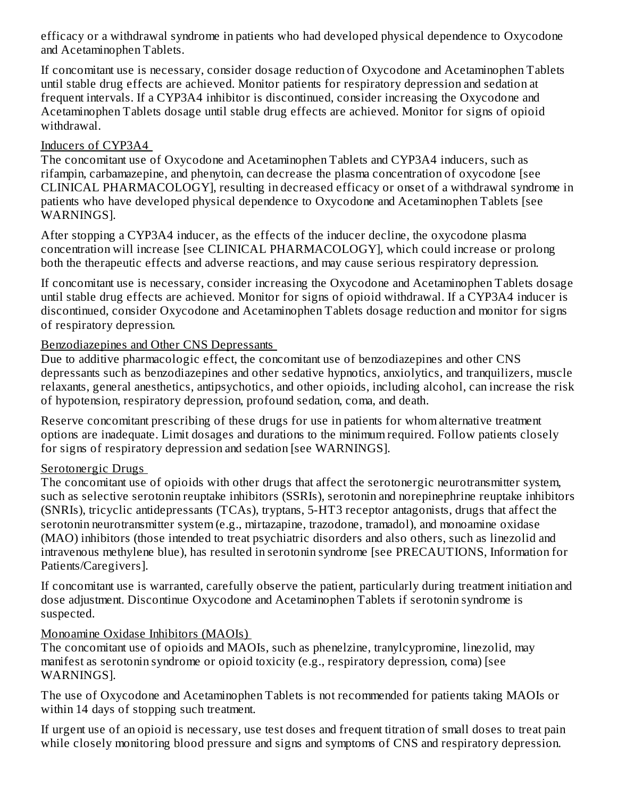efficacy or a withdrawal syndrome in patients who had developed physical dependence to Oxycodone and Acetaminophen Tablets.

If concomitant use is necessary, consider dosage reduction of Oxycodone and Acetaminophen Tablets until stable drug effects are achieved. Monitor patients for respiratory depression and sedation at frequent intervals. If a CYP3A4 inhibitor is discontinued, consider increasing the Oxycodone and Acetaminophen Tablets dosage until stable drug effects are achieved. Monitor for signs of opioid withdrawal.

#### Inducers of CYP3A4

The concomitant use of Oxycodone and Acetaminophen Tablets and CYP3A4 inducers, such as rifampin, carbamazepine, and phenytoin, can decrease the plasma concentration of oxycodone [see CLINICAL PHARMACOLOGY], resulting in decreased efficacy or onset of a withdrawal syndrome in patients who have developed physical dependence to Oxycodone and Acetaminophen Tablets [see WARNINGS].

After stopping a CYP3A4 inducer, as the effects of the inducer decline, the oxycodone plasma concentration will increase [see CLINICAL PHARMACOLOGY], which could increase or prolong both the therapeutic effects and adverse reactions, and may cause serious respiratory depression.

If concomitant use is necessary, consider increasing the Oxycodone and Acetaminophen Tablets dosage until stable drug effects are achieved. Monitor for signs of opioid withdrawal. If a CYP3A4 inducer is discontinued, consider Oxycodone and Acetaminophen Tablets dosage reduction and monitor for signs of respiratory depression.

#### Benzodiazepines and Other CNS Depressants

Due to additive pharmacologic effect, the concomitant use of benzodiazepines and other CNS depressants such as benzodiazepines and other sedative hypnotics, anxiolytics, and tranquilizers, muscle relaxants, general anesthetics, antipsychotics, and other opioids, including alcohol, can increase the risk of hypotension, respiratory depression, profound sedation, coma, and death.

Reserve concomitant prescribing of these drugs for use in patients for whom alternative treatment options are inadequate. Limit dosages and durations to the minimum required. Follow patients closely for signs of respiratory depression and sedation [see WARNINGS].

#### Serotonergic Drugs

The concomitant use of opioids with other drugs that affect the serotonergic neurotransmitter system, such as selective serotonin reuptake inhibitors (SSRIs), serotonin and norepinephrine reuptake inhibitors (SNRIs), tricyclic antidepressants (TCAs), tryptans, 5-HT3 receptor antagonists, drugs that affect the serotonin neurotransmitter system (e.g., mirtazapine, trazodone, tramadol), and monoamine oxidase (MAO) inhibitors (those intended to treat psychiatric disorders and also others, such as linezolid and intravenous methylene blue), has resulted in serotonin syndrome [see PRECAUTIONS, Information for Patients/Caregivers].

If concomitant use is warranted, carefully observe the patient, particularly during treatment initiation and dose adjustment. Discontinue Oxycodone and Acetaminophen Tablets if serotonin syndrome is suspected.

#### Monoamine Oxidase Inhibitors (MAOIs)

The concomitant use of opioids and MAOIs, such as phenelzine, tranylcypromine, linezolid, may manifest as serotonin syndrome or opioid toxicity (e.g., respiratory depression, coma) [see WARNINGS].

The use of Oxycodone and Acetaminophen Tablets is not recommended for patients taking MAOIs or within 14 days of stopping such treatment.

If urgent use of an opioid is necessary, use test doses and frequent titration of small doses to treat pain while closely monitoring blood pressure and signs and symptoms of CNS and respiratory depression.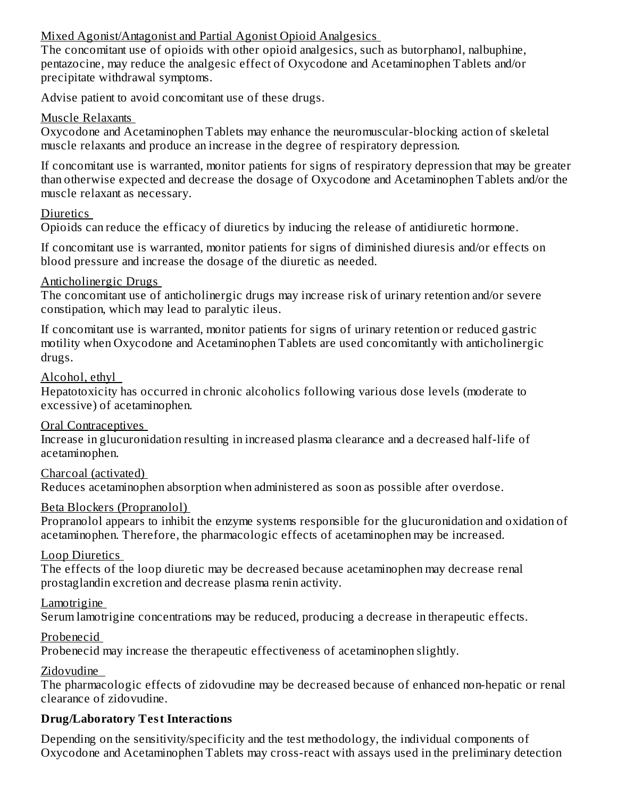## Mixed Agonist/Antagonist and Partial Agonist Opioid Analgesics

The concomitant use of opioids with other opioid analgesics, such as butorphanol, nalbuphine, pentazocine, may reduce the analgesic effect of Oxycodone and Acetaminophen Tablets and/or precipitate withdrawal symptoms.

Advise patient to avoid concomitant use of these drugs.

#### Muscle Relaxants

Oxycodone and Acetaminophen Tablets may enhance the neuromuscular-blocking action of skeletal muscle relaxants and produce an increase in the degree of respiratory depression.

If concomitant use is warranted, monitor patients for signs of respiratory depression that may be greater than otherwise expected and decrease the dosage of Oxycodone and Acetaminophen Tablets and/or the muscle relaxant as necessary.

#### Diuretics

Opioids can reduce the efficacy of diuretics by inducing the release of antidiuretic hormone.

If concomitant use is warranted, monitor patients for signs of diminished diuresis and/or effects on blood pressure and increase the dosage of the diuretic as needed.

#### Anticholinergic Drugs

The concomitant use of anticholinergic drugs may increase risk of urinary retention and/or severe constipation, which may lead to paralytic ileus.

If concomitant use is warranted, monitor patients for signs of urinary retention or reduced gastric motility when Oxycodone and Acetaminophen Tablets are used concomitantly with anticholinergic drugs.

#### Alcohol, ethyl

Hepatotoxicity has occurred in chronic alcoholics following various dose levels (moderate to excessive) of acetaminophen.

#### Oral Contraceptives

Increase in glucuronidation resulting in increased plasma clearance and a decreased half-life of acetaminophen.

#### Charcoal (activated)

Reduces acetaminophen absorption when administered as soon as possible after overdose.

#### Beta Blockers (Propranolol)

Propranolol appears to inhibit the enzyme systems responsible for the glucuronidation and oxidation of acetaminophen. Therefore, the pharmacologic effects of acetaminophen may be increased.

#### Loop Diuretics

The effects of the loop diuretic may be decreased because acetaminophen may decrease renal prostaglandin excretion and decrease plasma renin activity.

#### Lamotrigine

Serum lamotrigine concentrations may be reduced, producing a decrease in therapeutic effects.

#### Probenecid

Probenecid may increase the therapeutic effectiveness of acetaminophen slightly.

#### Zidovudine

The pharmacologic effects of zidovudine may be decreased because of enhanced non-hepatic or renal clearance of zidovudine.

#### **Drug/Laboratory Test Interactions**

Depending on the sensitivity/specificity and the test methodology, the individual components of Oxycodone and Acetaminophen Tablets may cross-react with assays used in the preliminary detection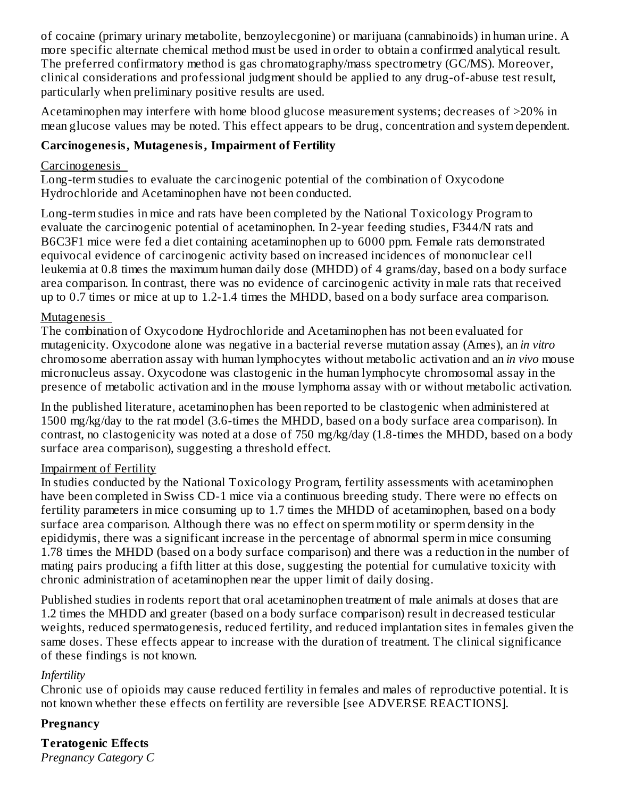of cocaine (primary urinary metabolite, benzoylecgonine) or marijuana (cannabinoids) in human urine. A more specific alternate chemical method must be used in order to obtain a confirmed analytical result. The preferred confirmatory method is gas chromatography/mass spectrometry (GC/MS). Moreover, clinical considerations and professional judgment should be applied to any drug-of-abuse test result, particularly when preliminary positive results are used.

Acetaminophen may interfere with home blood glucose measurement systems; decreases of >20% in mean glucose values may be noted. This effect appears to be drug, concentration and system dependent.

## **Carcinogenesis, Mutagenesis, Impairment of Fertility**

## Carcinogenesis

Long-term studies to evaluate the carcinogenic potential of the combination of Oxycodone Hydrochloride and Acetaminophen have not been conducted.

Long-term studies in mice and rats have been completed by the National Toxicology Program to evaluate the carcinogenic potential of acetaminophen. In 2-year feeding studies, F344/N rats and B6C3F1 mice were fed a diet containing acetaminophen up to 6000 ppm. Female rats demonstrated equivocal evidence of carcinogenic activity based on increased incidences of mononuclear cell leukemia at 0.8 times the maximum human daily dose (MHDD) of 4 grams/day, based on a body surface area comparison. In contrast, there was no evidence of carcinogenic activity in male rats that received up to 0.7 times or mice at up to 1.2-1.4 times the MHDD, based on a body surface area comparison.

## Mutagenesis

The combination of Oxycodone Hydrochloride and Acetaminophen has not been evaluated for mutagenicity. Oxycodone alone was negative in a bacterial reverse mutation assay (Ames), an *in vitro* chromosome aberration assay with human lymphocytes without metabolic activation and an *in vivo* mouse micronucleus assay. Oxycodone was clastogenic in the human lymphocyte chromosomal assay in the presence of metabolic activation and in the mouse lymphoma assay with or without metabolic activation.

In the published literature, acetaminophen has been reported to be clastogenic when administered at 1500 mg/kg/day to the rat model (3.6-times the MHDD, based on a body surface area comparison). In contrast, no clastogenicity was noted at a dose of 750 mg/kg/day (1.8-times the MHDD, based on a body surface area comparison), suggesting a threshold effect.

## Impairment of Fertility

In studies conducted by the National Toxicology Program, fertility assessments with acetaminophen have been completed in Swiss CD-1 mice via a continuous breeding study. There were no effects on fertility parameters in mice consuming up to 1.7 times the MHDD of acetaminophen, based on a body surface area comparison. Although there was no effect on sperm motility or sperm density in the epididymis, there was a significant increase in the percentage of abnormal sperm in mice consuming 1.78 times the MHDD (based on a body surface comparison) and there was a reduction in the number of mating pairs producing a fifth litter at this dose, suggesting the potential for cumulative toxicity with chronic administration of acetaminophen near the upper limit of daily dosing.

Published studies in rodents report that oral acetaminophen treatment of male animals at doses that are 1.2 times the MHDD and greater (based on a body surface comparison) result in decreased testicular weights, reduced spermatogenesis, reduced fertility, and reduced implantation sites in females given the same doses. These effects appear to increase with the duration of treatment. The clinical significance of these findings is not known.

## *Infertility*

Chronic use of opioids may cause reduced fertility in females and males of reproductive potential. It is not known whether these effects on fertility are reversible [see ADVERSE REACTIONS].

## **Pregnancy**

**Teratogenic Effects**

*Pregnancy Category C*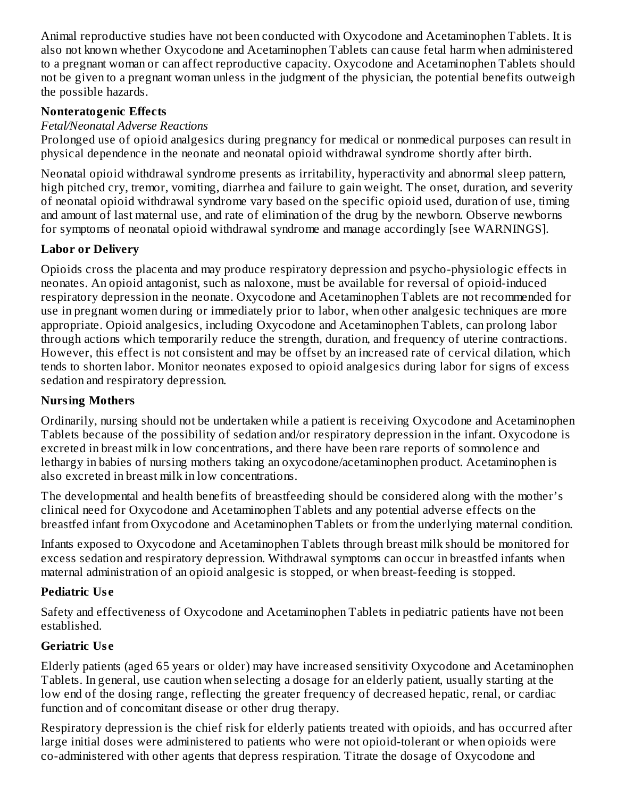Animal reproductive studies have not been conducted with Oxycodone and Acetaminophen Tablets. It is also not known whether Oxycodone and Acetaminophen Tablets can cause fetal harm when administered to a pregnant woman or can affect reproductive capacity. Oxycodone and Acetaminophen Tablets should not be given to a pregnant woman unless in the judgment of the physician, the potential benefits outweigh the possible hazards.

## **Nonteratogenic Effects**

#### *Fetal/Neonatal Adverse Reactions*

Prolonged use of opioid analgesics during pregnancy for medical or nonmedical purposes can result in physical dependence in the neonate and neonatal opioid withdrawal syndrome shortly after birth.

Neonatal opioid withdrawal syndrome presents as irritability, hyperactivity and abnormal sleep pattern, high pitched cry, tremor, vomiting, diarrhea and failure to gain weight. The onset, duration, and severity of neonatal opioid withdrawal syndrome vary based on the specific opioid used, duration of use, timing and amount of last maternal use, and rate of elimination of the drug by the newborn. Observe newborns for symptoms of neonatal opioid withdrawal syndrome and manage accordingly [see WARNINGS].

## **Labor or Delivery**

Opioids cross the placenta and may produce respiratory depression and psycho-physiologic effects in neonates. An opioid antagonist, such as naloxone, must be available for reversal of opioid-induced respiratory depression in the neonate. Oxycodone and Acetaminophen Tablets are not recommended for use in pregnant women during or immediately prior to labor, when other analgesic techniques are more appropriate. Opioid analgesics, including Oxycodone and Acetaminophen Tablets, can prolong labor through actions which temporarily reduce the strength, duration, and frequency of uterine contractions. However, this effect is not consistent and may be offset by an increased rate of cervical dilation, which tends to shorten labor. Monitor neonates exposed to opioid analgesics during labor for signs of excess sedation and respiratory depression.

## **Nursing Mothers**

Ordinarily, nursing should not be undertaken while a patient is receiving Oxycodone and Acetaminophen Tablets because of the possibility of sedation and/or respiratory depression in the infant. Oxycodone is excreted in breast milk in low concentrations, and there have been rare reports of somnolence and lethargy in babies of nursing mothers taking an oxycodone/acetaminophen product. Acetaminophen is also excreted in breast milk in low concentrations.

The developmental and health benefits of breastfeeding should be considered along with the mother's clinical need for Oxycodone and Acetaminophen Tablets and any potential adverse effects on the breastfed infant from Oxycodone and Acetaminophen Tablets or from the underlying maternal condition.

Infants exposed to Oxycodone and Acetaminophen Tablets through breast milk should be monitored for excess sedation and respiratory depression. Withdrawal symptoms can occur in breastfed infants when maternal administration of an opioid analgesic is stopped, or when breast-feeding is stopped.

## **Pediatric Us e**

Safety and effectiveness of Oxycodone and Acetaminophen Tablets in pediatric patients have not been established.

## **Geriatric Us e**

Elderly patients (aged 65 years or older) may have increased sensitivity Oxycodone and Acetaminophen Tablets. In general, use caution when selecting a dosage for an elderly patient, usually starting at the low end of the dosing range, reflecting the greater frequency of decreased hepatic, renal, or cardiac function and of concomitant disease or other drug therapy.

Respiratory depression is the chief risk for elderly patients treated with opioids, and has occurred after large initial doses were administered to patients who were not opioid-tolerant or when opioids were co-administered with other agents that depress respiration. Titrate the dosage of Oxycodone and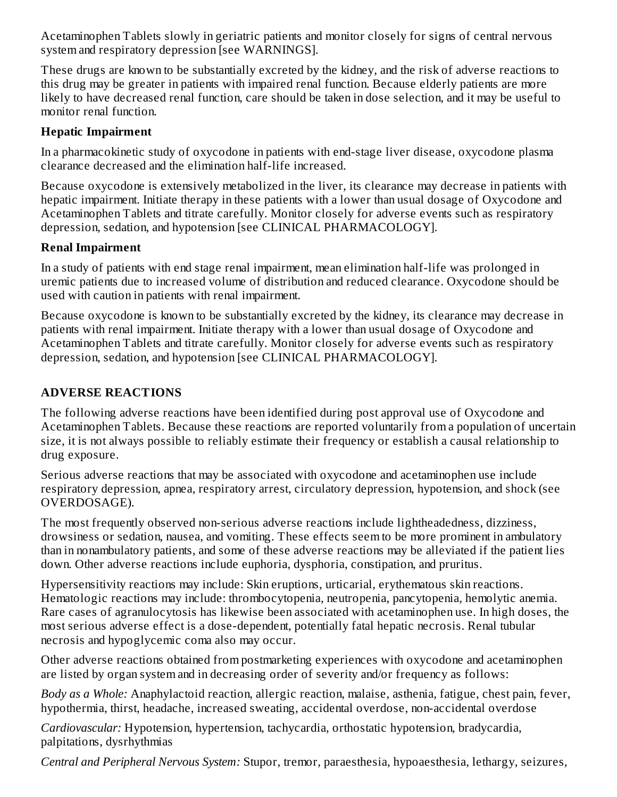Acetaminophen Tablets slowly in geriatric patients and monitor closely for signs of central nervous system and respiratory depression [see WARNINGS].

These drugs are known to be substantially excreted by the kidney, and the risk of adverse reactions to this drug may be greater in patients with impaired renal function. Because elderly patients are more likely to have decreased renal function, care should be taken in dose selection, and it may be useful to monitor renal function.

#### **Hepatic Impairment**

In a pharmacokinetic study of oxycodone in patients with end-stage liver disease, oxycodone plasma clearance decreased and the elimination half-life increased.

Because oxycodone is extensively metabolized in the liver, its clearance may decrease in patients with hepatic impairment. Initiate therapy in these patients with a lower than usual dosage of Oxycodone and Acetaminophen Tablets and titrate carefully. Monitor closely for adverse events such as respiratory depression, sedation, and hypotension [see CLINICAL PHARMACOLOGY].

## **Renal Impairment**

In a study of patients with end stage renal impairment, mean elimination half-life was prolonged in uremic patients due to increased volume of distribution and reduced clearance. Oxycodone should be used with caution in patients with renal impairment.

Because oxycodone is known to be substantially excreted by the kidney, its clearance may decrease in patients with renal impairment. Initiate therapy with a lower than usual dosage of Oxycodone and Acetaminophen Tablets and titrate carefully. Monitor closely for adverse events such as respiratory depression, sedation, and hypotension [see CLINICAL PHARMACOLOGY].

# **ADVERSE REACTIONS**

The following adverse reactions have been identified during post approval use of Oxycodone and Acetaminophen Tablets. Because these reactions are reported voluntarily from a population of uncertain size, it is not always possible to reliably estimate their frequency or establish a causal relationship to drug exposure.

Serious adverse reactions that may be associated with oxycodone and acetaminophen use include respiratory depression, apnea, respiratory arrest, circulatory depression, hypotension, and shock (see OVERDOSAGE).

The most frequently observed non-serious adverse reactions include lightheadedness, dizziness, drowsiness or sedation, nausea, and vomiting. These effects seem to be more prominent in ambulatory than in nonambulatory patients, and some of these adverse reactions may be alleviated if the patient lies down. Other adverse reactions include euphoria, dysphoria, constipation, and pruritus.

Hypersensitivity reactions may include: Skin eruptions, urticarial, erythematous skin reactions. Hematologic reactions may include: thrombocytopenia, neutropenia, pancytopenia, hemolytic anemia. Rare cases of agranulocytosis has likewise been associated with acetaminophen use. In high doses, the most serious adverse effect is a dose-dependent, potentially fatal hepatic necrosis. Renal tubular necrosis and hypoglycemic coma also may occur.

Other adverse reactions obtained from postmarketing experiences with oxycodone and acetaminophen are listed by organ system and in decreasing order of severity and/or frequency as follows:

*Body as a Whole:* Anaphylactoid reaction, allergic reaction, malaise, asthenia, fatigue, chest pain, fever, hypothermia, thirst, headache, increased sweating, accidental overdose, non-accidental overdose

*Cardiovascular:* Hypotension, hypertension, tachycardia, orthostatic hypotension, bradycardia, palpitations, dysrhythmias

*Central and Peripheral Nervous System:* Stupor, tremor, paraesthesia, hypoaesthesia, lethargy, seizures,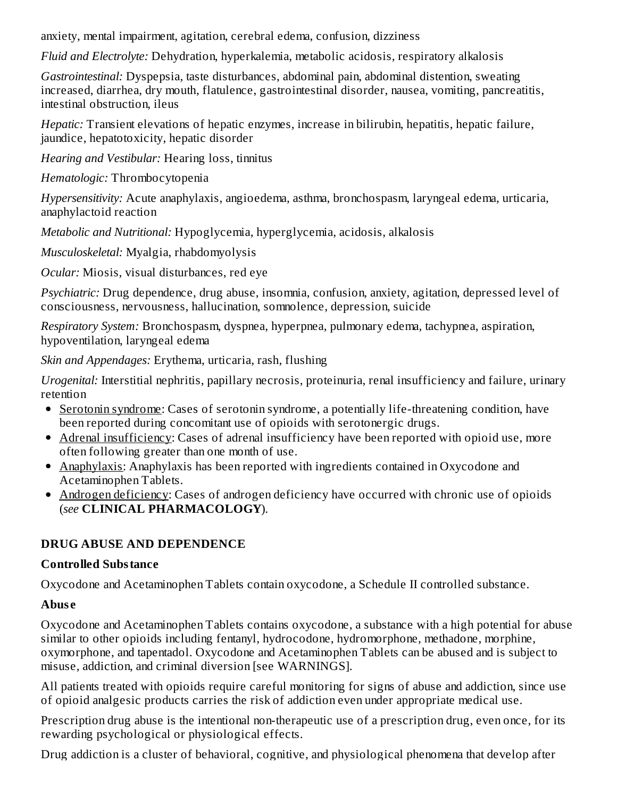anxiety, mental impairment, agitation, cerebral edema, confusion, dizziness

*Fluid and Electrolyte:* Dehydration, hyperkalemia, metabolic acidosis, respiratory alkalosis

*Gastrointestinal:* Dyspepsia, taste disturbances, abdominal pain, abdominal distention, sweating increased, diarrhea, dry mouth, flatulence, gastrointestinal disorder, nausea, vomiting, pancreatitis, intestinal obstruction, ileus

*Hepatic:* Transient elevations of hepatic enzymes, increase in bilirubin, hepatitis, hepatic failure, jaundice, hepatotoxicity, hepatic disorder

*Hearing and Vestibular:* Hearing loss, tinnitus

*Hematologic:* Thrombocytopenia

*Hypersensitivity:* Acute anaphylaxis, angioedema, asthma, bronchospasm, laryngeal edema, urticaria, anaphylactoid reaction

*Metabolic and Nutritional:* Hypoglycemia, hyperglycemia, acidosis, alkalosis

*Musculoskeletal:* Myalgia, rhabdomyolysis

*Ocular:* Miosis, visual disturbances, red eye

*Psychiatric:* Drug dependence, drug abuse, insomnia, confusion, anxiety, agitation, depressed level of consciousness, nervousness, hallucination, somnolence, depression, suicide

*Respiratory System:* Bronchospasm, dyspnea, hyperpnea, pulmonary edema, tachypnea, aspiration, hypoventilation, laryngeal edema

*Skin and Appendages:* Erythema, urticaria, rash, flushing

*Urogenital:* Interstitial nephritis, papillary necrosis, proteinuria, renal insufficiency and failure, urinary retention

- Serotonin syndrome: Cases of serotonin syndrome, a potentially life-threatening condition, have been reported during concomitant use of opioids with serotonergic drugs.
- Adrenal insufficiency: Cases of adrenal insufficiency have been reported with opioid use, more often following greater than one month of use.
- Anaphylaxis: Anaphylaxis has been reported with ingredients contained in Oxycodone and Acetaminophen Tablets.
- Androgen deficiency: Cases of androgen deficiency have occurred with chronic use of opioids (*see* **CLINICAL PHARMACOLOGY**).

## **DRUG ABUSE AND DEPENDENCE**

#### **Controlled Substance**

Oxycodone and Acetaminophen Tablets contain oxycodone, a Schedule II controlled substance.

#### **Abus e**

Oxycodone and Acetaminophen Tablets contains oxycodone, a substance with a high potential for abuse similar to other opioids including fentanyl, hydrocodone, hydromorphone, methadone, morphine, oxymorphone, and tapentadol. Oxycodone and Acetaminophen Tablets can be abused and is subject to misuse, addiction, and criminal diversion [see WARNINGS].

All patients treated with opioids require careful monitoring for signs of abuse and addiction, since use of opioid analgesic products carries the risk of addiction even under appropriate medical use.

Prescription drug abuse is the intentional non-therapeutic use of a prescription drug, even once, for its rewarding psychological or physiological effects.

Drug addiction is a cluster of behavioral, cognitive, and physiological phenomena that develop after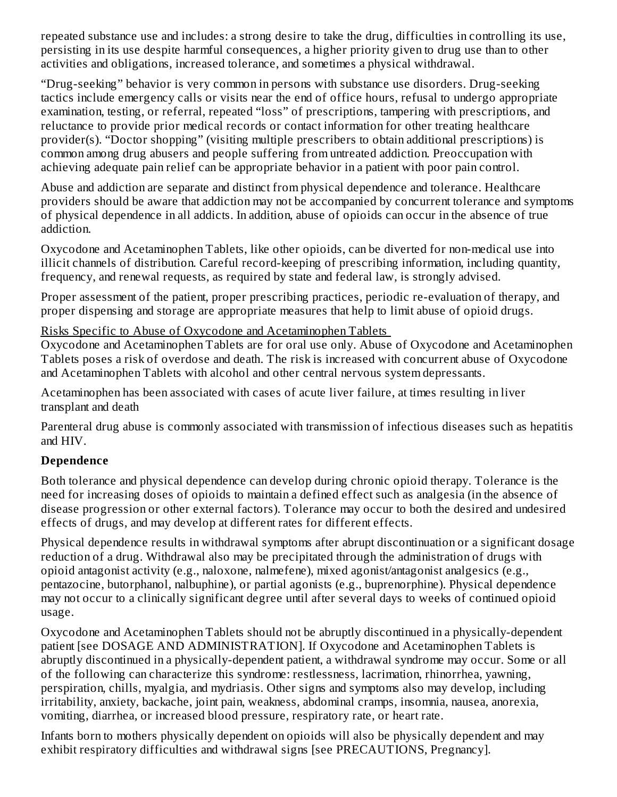repeated substance use and includes: a strong desire to take the drug, difficulties in controlling its use, persisting in its use despite harmful consequences, a higher priority given to drug use than to other activities and obligations, increased tolerance, and sometimes a physical withdrawal.

"Drug-seeking" behavior is very common in persons with substance use disorders. Drug-seeking tactics include emergency calls or visits near the end of office hours, refusal to undergo appropriate examination, testing, or referral, repeated "loss" of prescriptions, tampering with prescriptions, and reluctance to provide prior medical records or contact information for other treating healthcare provider(s). "Doctor shopping" (visiting multiple prescribers to obtain additional prescriptions) is common among drug abusers and people suffering from untreated addiction. Preoccupation with achieving adequate pain relief can be appropriate behavior in a patient with poor pain control.

Abuse and addiction are separate and distinct from physical dependence and tolerance. Healthcare providers should be aware that addiction may not be accompanied by concurrent tolerance and symptoms of physical dependence in all addicts. In addition, abuse of opioids can occur in the absence of true addiction.

Oxycodone and Acetaminophen Tablets, like other opioids, can be diverted for non-medical use into illicit channels of distribution. Careful record-keeping of prescribing information, including quantity, frequency, and renewal requests, as required by state and federal law, is strongly advised.

Proper assessment of the patient, proper prescribing practices, periodic re-evaluation of therapy, and proper dispensing and storage are appropriate measures that help to limit abuse of opioid drugs.

Risks Specific to Abuse of Oxycodone and Acetaminophen Tablets

Oxycodone and Acetaminophen Tablets are for oral use only. Abuse of Oxycodone and Acetaminophen Tablets poses a risk of overdose and death. The risk is increased with concurrent abuse of Oxycodone and Acetaminophen Tablets with alcohol and other central nervous system depressants.

Acetaminophen has been associated with cases of acute liver failure, at times resulting in liver transplant and death

Parenteral drug abuse is commonly associated with transmission of infectious diseases such as hepatitis and HIV.

## **Dependence**

Both tolerance and physical dependence can develop during chronic opioid therapy. Tolerance is the need for increasing doses of opioids to maintain a defined effect such as analgesia (in the absence of disease progression or other external factors). Tolerance may occur to both the desired and undesired effects of drugs, and may develop at different rates for different effects.

Physical dependence results in withdrawal symptoms after abrupt discontinuation or a significant dosage reduction of a drug. Withdrawal also may be precipitated through the administration of drugs with opioid antagonist activity (e.g., naloxone, nalmefene), mixed agonist/antagonist analgesics (e.g., pentazocine, butorphanol, nalbuphine), or partial agonists (e.g., buprenorphine). Physical dependence may not occur to a clinically significant degree until after several days to weeks of continued opioid usage.

Oxycodone and Acetaminophen Tablets should not be abruptly discontinued in a physically-dependent patient [see DOSAGE AND ADMINISTRATION]. If Oxycodone and Acetaminophen Tablets is abruptly discontinued in a physically-dependent patient, a withdrawal syndrome may occur. Some or all of the following can characterize this syndrome: restlessness, lacrimation, rhinorrhea, yawning, perspiration, chills, myalgia, and mydriasis. Other signs and symptoms also may develop, including irritability, anxiety, backache, joint pain, weakness, abdominal cramps, insomnia, nausea, anorexia, vomiting, diarrhea, or increased blood pressure, respiratory rate, or heart rate.

Infants born to mothers physically dependent on opioids will also be physically dependent and may exhibit respiratory difficulties and withdrawal signs [see PRECAUTIONS, Pregnancy].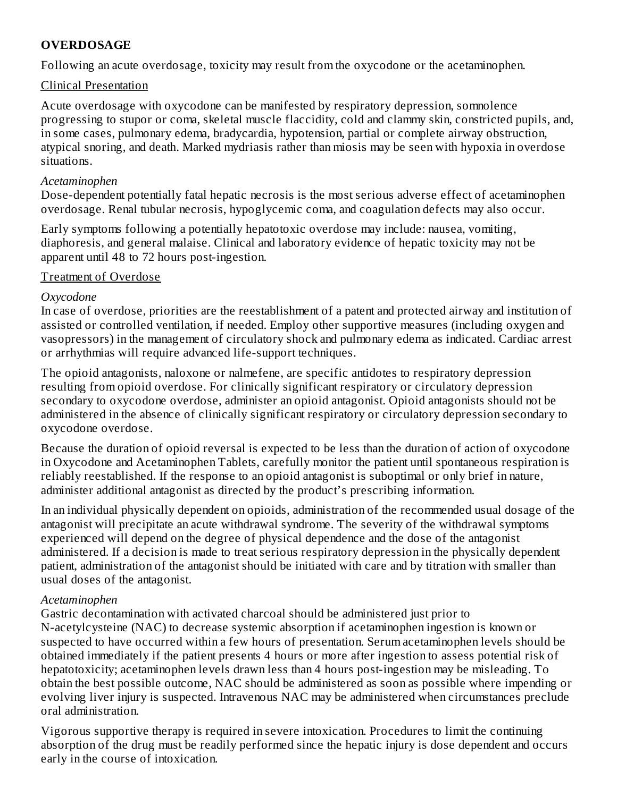## **OVERDOSAGE**

Following an acute overdosage, toxicity may result from the oxycodone or the acetaminophen.

## Clinical Presentation

Acute overdosage with oxycodone can be manifested by respiratory depression, somnolence progressing to stupor or coma, skeletal muscle flaccidity, cold and clammy skin, constricted pupils, and, in some cases, pulmonary edema, bradycardia, hypotension, partial or complete airway obstruction, atypical snoring, and death. Marked mydriasis rather than miosis may be seen with hypoxia in overdose situations.

#### *Acetaminophen*

Dose-dependent potentially fatal hepatic necrosis is the most serious adverse effect of acetaminophen overdosage. Renal tubular necrosis, hypoglycemic coma, and coagulation defects may also occur.

Early symptoms following a potentially hepatotoxic overdose may include: nausea, vomiting, diaphoresis, and general malaise. Clinical and laboratory evidence of hepatic toxicity may not be apparent until 48 to 72 hours post-ingestion.

## Treatment of Overdose

## *Oxycodone*

In case of overdose, priorities are the reestablishment of a patent and protected airway and institution of assisted or controlled ventilation, if needed. Employ other supportive measures (including oxygen and vasopressors) in the management of circulatory shock and pulmonary edema as indicated. Cardiac arrest or arrhythmias will require advanced life-support techniques.

The opioid antagonists, naloxone or nalmefene, are specific antidotes to respiratory depression resulting from opioid overdose. For clinically significant respiratory or circulatory depression secondary to oxycodone overdose, administer an opioid antagonist. Opioid antagonists should not be administered in the absence of clinically significant respiratory or circulatory depression secondary to oxycodone overdose.

Because the duration of opioid reversal is expected to be less than the duration of action of oxycodone in Oxycodone and Acetaminophen Tablets, carefully monitor the patient until spontaneous respiration is reliably reestablished. If the response to an opioid antagonist is suboptimal or only brief in nature, administer additional antagonist as directed by the product's prescribing information.

In an individual physically dependent on opioids, administration of the recommended usual dosage of the antagonist will precipitate an acute withdrawal syndrome. The severity of the withdrawal symptoms experienced will depend on the degree of physical dependence and the dose of the antagonist administered. If a decision is made to treat serious respiratory depression in the physically dependent patient, administration of the antagonist should be initiated with care and by titration with smaller than usual doses of the antagonist.

## *Acetaminophen*

Gastric decontamination with activated charcoal should be administered just prior to N-acetylcysteine (NAC) to decrease systemic absorption if acetaminophen ingestion is known or suspected to have occurred within a few hours of presentation. Serum acetaminophen levels should be obtained immediately if the patient presents 4 hours or more after ingestion to assess potential risk of hepatotoxicity; acetaminophen levels drawn less than 4 hours post-ingestion may be misleading. To obtain the best possible outcome, NAC should be administered as soon as possible where impending or evolving liver injury is suspected. Intravenous NAC may be administered when circumstances preclude oral administration.

Vigorous supportive therapy is required in severe intoxication. Procedures to limit the continuing absorption of the drug must be readily performed since the hepatic injury is dose dependent and occurs early in the course of intoxication.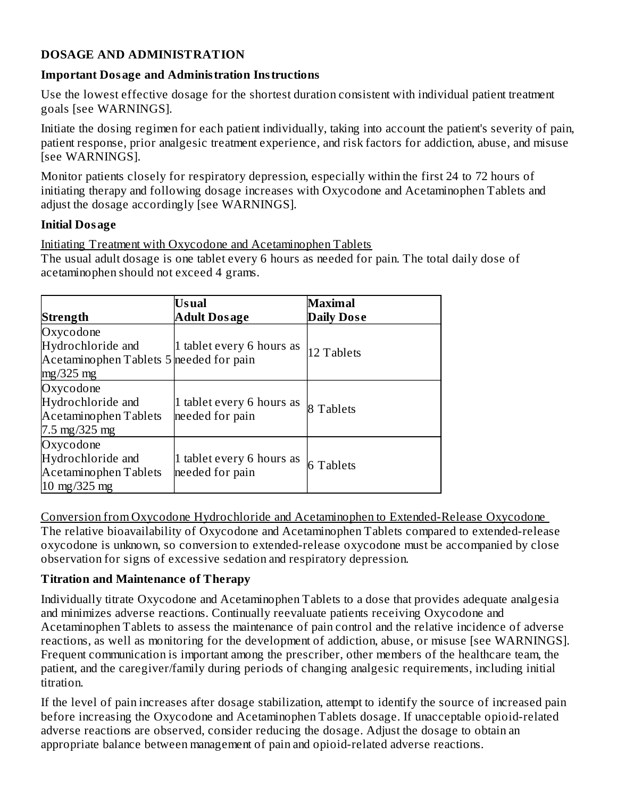## **DOSAGE AND ADMINISTRATION**

#### **Important Dosage and Administration Instructions**

Use the lowest effective dosage for the shortest duration consistent with individual patient treatment goals [see WARNINGS].

Initiate the dosing regimen for each patient individually, taking into account the patient's severity of pain, patient response, prior analgesic treatment experience, and risk factors for addiction, abuse, and misuse [see WARNINGS].

Monitor patients closely for respiratory depression, especially within the first 24 to 72 hours of initiating therapy and following dosage increases with Oxycodone and Acetaminophen Tablets and adjust the dosage accordingly [see WARNINGS].

#### **Initial Dosage**

Initiating Treatment with Oxycodone and Acetaminophen Tablets

The usual adult dosage is one tablet every 6 hours as needed for pain. The total daily dose of acetaminophen should not exceed 4 grams.

|                                                                                              | <b>Usual</b>                                 | Maximal           |
|----------------------------------------------------------------------------------------------|----------------------------------------------|-------------------|
| <b>Strength</b>                                                                              | Adult Dosage                                 | <b>Daily Dose</b> |
| Oxycodone<br>Hydrochloride and<br>Acetaminophen Tablets 5 needed for pain<br>mg/325 mg       | 1 tablet every 6 hours as                    | 12 Tablets        |
| Oxycodone<br>Hydrochloride and<br>Acetaminophen Tablets<br>$7.5 \text{ mg} / 325 \text{ mg}$ | 1 tablet every 6 hours as<br>needed for pain | 8 Tablets         |
| Oxycodone<br>Hydrochloride and<br>Acetaminophen Tablets<br>$10 \text{ mg} / 325 \text{ mg}$  | 1 tablet every 6 hours as<br>needed for pain | 6 Tablets         |

Conversion from Oxycodone Hydrochloride and Acetaminophen to Extended-Release Oxycodone The relative bioavailability of Oxycodone and Acetaminophen Tablets compared to extended-release oxycodone is unknown, so conversion to extended-release oxycodone must be accompanied by close observation for signs of excessive sedation and respiratory depression.

#### **Titration and Maintenance of Therapy**

Individually titrate Oxycodone and Acetaminophen Tablets to a dose that provides adequate analgesia and minimizes adverse reactions. Continually reevaluate patients receiving Oxycodone and Acetaminophen Tablets to assess the maintenance of pain control and the relative incidence of adverse reactions, as well as monitoring for the development of addiction, abuse, or misuse [see WARNINGS]. Frequent communication is important among the prescriber, other members of the healthcare team, the patient, and the caregiver/family during periods of changing analgesic requirements, including initial titration.

If the level of pain increases after dosage stabilization, attempt to identify the source of increased pain before increasing the Oxycodone and Acetaminophen Tablets dosage. If unacceptable opioid-related adverse reactions are observed, consider reducing the dosage. Adjust the dosage to obtain an appropriate balance between management of pain and opioid-related adverse reactions.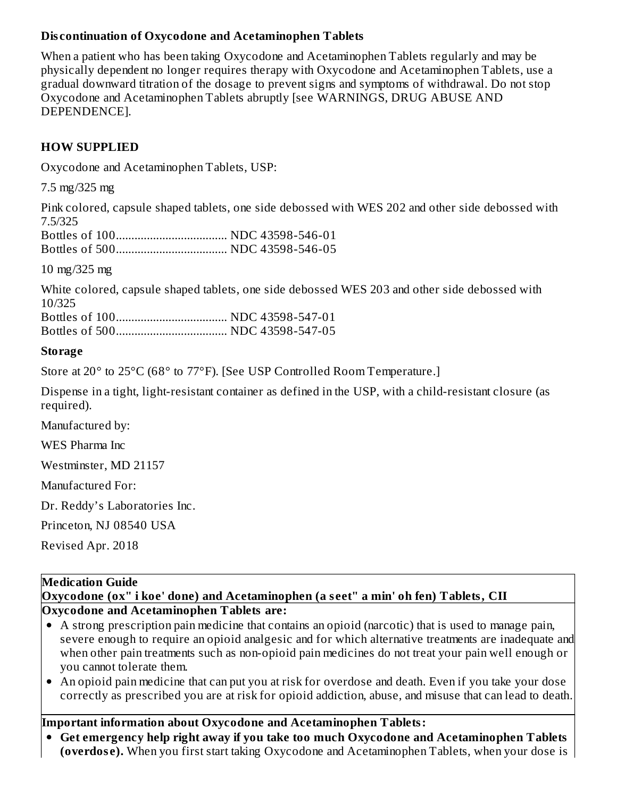## **Dis continuation of Oxycodone and Acetaminophen Tablets**

When a patient who has been taking Oxycodone and Acetaminophen Tablets regularly and may be physically dependent no longer requires therapy with Oxycodone and Acetaminophen Tablets, use a gradual downward titration of the dosage to prevent signs and symptoms of withdrawal. Do not stop Oxycodone and Acetaminophen Tablets abruptly [see WARNINGS, DRUG ABUSE AND DEPENDENCE].

## **HOW SUPPLIED**

Oxycodone and Acetaminophen Tablets, USP:

7.5 mg/325 mg

Pink colored, capsule shaped tablets, one side debossed with WES 202 and other side debossed with 7.5/325

10 mg/325 mg

White colored, capsule shaped tablets, one side debossed WES 203 and other side debossed with 10/325 Bottles of 100.................................... NDC 43598-547-01

Bottles of 500.................................... NDC 43598-547-05

#### **Storage**

Store at 20° to 25°C (68° to 77°F). [See USP Controlled Room Temperature.]

Dispense in a tight, light-resistant container as defined in the USP, with a child-resistant closure (as required).

Manufactured by:

WES Pharma Inc

Westminster, MD 21157

Manufactured For:

Dr. Reddy's Laboratories Inc.

Princeton, NJ 08540 USA

Revised Apr. 2018

## **Medication Guide**

**Oxycodone (ox" i koe' done) and Acetaminophen (a s eet" a min' oh fen) Tablets, CII Oxycodone and Acetaminophen Tablets are:**

- A strong prescription pain medicine that contains an opioid (narcotic) that is used to manage pain, severe enough to require an opioid analgesic and for which alternative treatments are inadequate and when other pain treatments such as non-opioid pain medicines do not treat your pain well enough or you cannot tolerate them.
- An opioid pain medicine that can put you at risk for overdose and death. Even if you take your dose correctly as prescribed you are at risk for opioid addiction, abuse, and misuse that can lead to death.

#### **Important information about Oxycodone and Acetaminophen Tablets:**

**Get emergency help right away if you take too much Oxycodone and Acetaminophen Tablets (overdose).** When you first start taking Oxycodone and Acetaminophen Tablets, when your dose is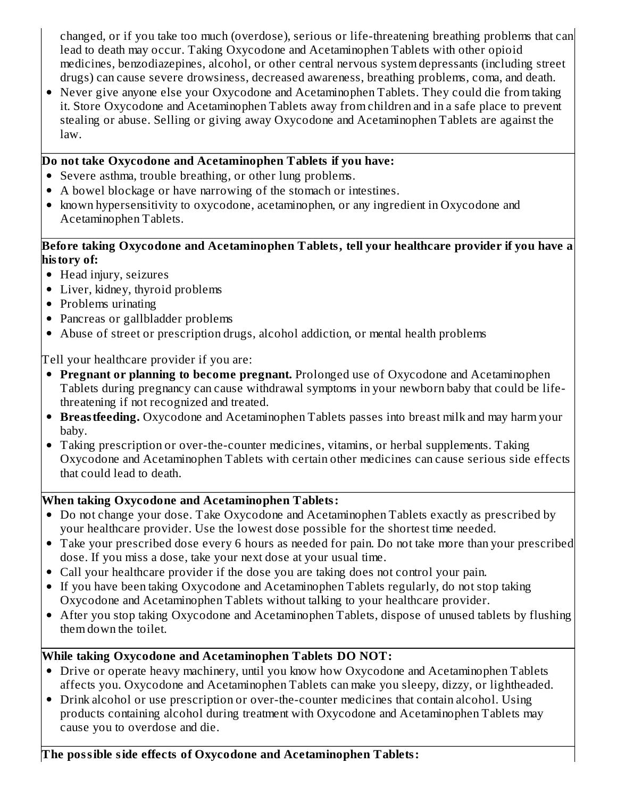changed, or if you take too much (overdose), serious or life-threatening breathing problems that can lead to death may occur. Taking Oxycodone and Acetaminophen Tablets with other opioid medicines, benzodiazepines, alcohol, or other central nervous system depressants (including street drugs) can cause severe drowsiness, decreased awareness, breathing problems, coma, and death.

Never give anyone else your Oxycodone and Acetaminophen Tablets. They could die from taking it. Store Oxycodone and Acetaminophen Tablets away from children and in a safe place to prevent stealing or abuse. Selling or giving away Oxycodone and Acetaminophen Tablets are against the law.

## **Do not take Oxycodone and Acetaminophen Tablets if you have:**

- Severe asthma, trouble breathing, or other lung problems.
- A bowel blockage or have narrowing of the stomach or intestines.
- known hypersensitivity to oxycodone, acetaminophen, or any ingredient in Oxycodone and Acetaminophen Tablets.

## **Before taking Oxycodone and Acetaminophen Tablets, tell your healthcare provider if you have a history of:**

- Head injury, seizures
- Liver, kidney, thyroid problems
- Problems urinating
- Pancreas or gallbladder problems
- Abuse of street or prescription drugs, alcohol addiction, or mental health problems

Tell your healthcare provider if you are:

- **Pregnant or planning to become pregnant.** Prolonged use of Oxycodone and Acetaminophen Tablets during pregnancy can cause withdrawal symptoms in your newborn baby that could be lifethreatening if not recognized and treated.
- **Breastfeeding.** Oxycodone and Acetaminophen Tablets passes into breast milk and may harm your baby.
- Taking prescription or over-the-counter medicines, vitamins, or herbal supplements. Taking Oxycodone and Acetaminophen Tablets with certain other medicines can cause serious side effects that could lead to death.

## **When taking Oxycodone and Acetaminophen Tablets:**

- Do not change your dose. Take Oxycodone and Acetaminophen Tablets exactly as prescribed by your healthcare provider. Use the lowest dose possible for the shortest time needed.
- Take your prescribed dose every 6 hours as needed for pain. Do not take more than your prescribed dose. If you miss a dose, take your next dose at your usual time.
- Call your healthcare provider if the dose you are taking does not control your pain.
- If you have been taking Oxycodone and Acetaminophen Tablets regularly, do not stop taking Oxycodone and Acetaminophen Tablets without talking to your healthcare provider.
- After you stop taking Oxycodone and Acetaminophen Tablets, dispose of unused tablets by flushing them down the toilet.

## **While taking Oxycodone and Acetaminophen Tablets DO NOT:**

- Drive or operate heavy machinery, until you know how Oxycodone and Acetaminophen Tablets affects you. Oxycodone and Acetaminophen Tablets can make you sleepy, dizzy, or lightheaded.
- Drink alcohol or use prescription or over-the-counter medicines that contain alcohol. Using products containing alcohol during treatment with Oxycodone and Acetaminophen Tablets may cause you to overdose and die.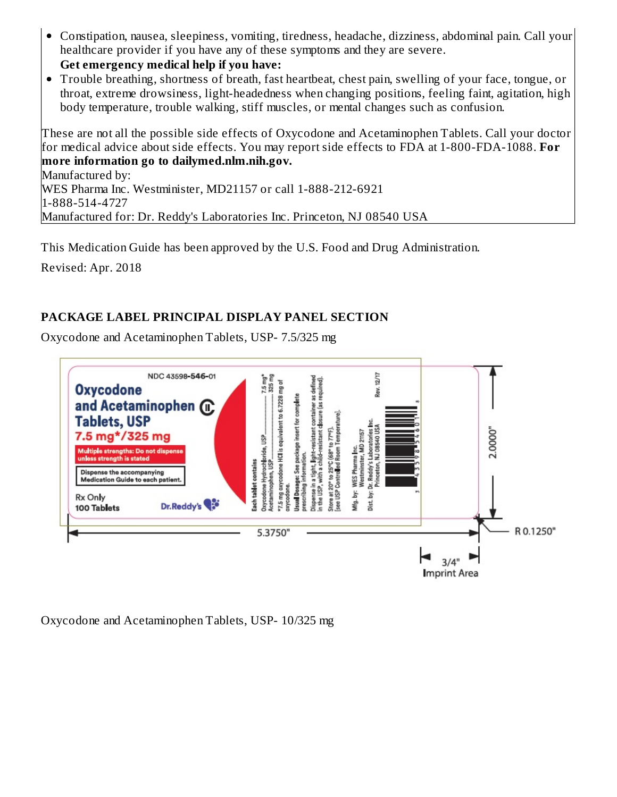- Constipation, nausea, sleepiness, vomiting, tiredness, headache, dizziness, abdominal pain. Call your healthcare provider if you have any of these symptoms and they are severe. **Get emergency medical help if you have:**
- Trouble breathing, shortness of breath, fast heartbeat, chest pain, swelling of your face, tongue, or throat, extreme drowsiness, light-headedness when changing positions, feeling faint, agitation, high body temperature, trouble walking, stiff muscles, or mental changes such as confusion.

These are not all the possible side effects of Oxycodone and Acetaminophen Tablets. Call your doctor for medical advice about side effects. You may report side effects to FDA at 1-800-FDA-1088. **For more information go to dailymed.nlm.nih.gov.** Manufactured by: WES Pharma Inc. Westminister, MD21157 or call 1-888-212-6921 1-888-514-4727 Manufactured for: Dr. Reddy's Laboratories Inc. Princeton, NJ 08540 USA

This Medication Guide has been approved by the U.S. Food and Drug Administration.

Revised: Apr. 2018

## **PACKAGE LABEL PRINCIPAL DISPLAY PANEL SECTION**

Oxycodone and Acetaminophen Tablets, USP- 7.5/325 mg



Oxycodone and Acetaminophen Tablets, USP- 10/325 mg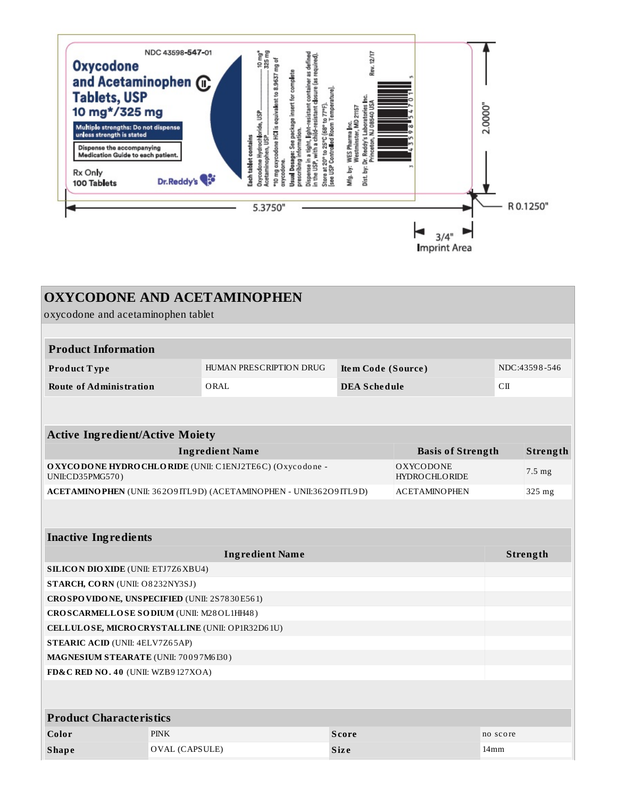

| <b>OXYCODONE AND ACETAMINOPHEN</b><br>oxycodone and acetaminophen tablet |                                                 |                                                                      |                     |                                          |                  |               |
|--------------------------------------------------------------------------|-------------------------------------------------|----------------------------------------------------------------------|---------------------|------------------------------------------|------------------|---------------|
|                                                                          |                                                 |                                                                      |                     |                                          |                  |               |
| <b>Product Information</b>                                               |                                                 |                                                                      |                     |                                          |                  |               |
| Product Type                                                             |                                                 | HUMAN PRESCRIPTION DRUG                                              | Item Code (Source)  |                                          |                  | NDC:43598-546 |
| <b>Route of Administration</b>                                           |                                                 | ORAL                                                                 | <b>DEA Schedule</b> |                                          | CШ               |               |
|                                                                          |                                                 |                                                                      |                     |                                          |                  |               |
|                                                                          |                                                 |                                                                      |                     |                                          |                  |               |
| <b>Active Ingredient/Active Moiety</b>                                   |                                                 |                                                                      |                     |                                          |                  |               |
|                                                                          |                                                 | <b>Ingredient Name</b>                                               |                     | <b>Basis of Strength</b>                 |                  | Strength      |
| UNII:CD35PMG570)                                                         |                                                 | OXYCODONE HYDROCHLORIDE (UNII: C1ENJ2TE6C) (Oxycodone -              |                     | <b>OXYCODONE</b><br><b>HYDROCHLORIDE</b> |                  | 7.5 mg        |
|                                                                          |                                                 | ACETAMINO PHEN (UNII: 36209ITL9D) (ACETAMINO PHEN - UNII:36209ITL9D) |                     | <b>ACETAMINOPHEN</b>                     |                  | 325 mg        |
|                                                                          |                                                 |                                                                      |                     |                                          |                  |               |
|                                                                          |                                                 |                                                                      |                     |                                          |                  |               |
| <b>Inactive Ingredients</b>                                              |                                                 |                                                                      |                     |                                          |                  |               |
|                                                                          |                                                 | <b>Ingredient Name</b>                                               |                     |                                          |                  | Strength      |
| <b>SILICON DIO XIDE (UNII: ETJ7Z6 XBU4)</b>                              |                                                 |                                                                      |                     |                                          |                  |               |
| STARCH, CORN (UNII: O8232NY3SJ)                                          |                                                 |                                                                      |                     |                                          |                  |               |
| CROSPOVIDONE, UNSPECIFIED (UNII: 2S7830E561)                             |                                                 |                                                                      |                     |                                          |                  |               |
| CROSCARMELLOSE SODIUM (UNII: M28OL1HH48)                                 |                                                 |                                                                      |                     |                                          |                  |               |
|                                                                          | CELLULOSE, MICRO CRYSTALLINE (UNII: OP1R32D61U) |                                                                      |                     |                                          |                  |               |
|                                                                          | STEARIC ACID (UNII: 4ELV7Z65AP)                 |                                                                      |                     |                                          |                  |               |
| MAGNESIUM STEARATE (UNII: 70097M6I30)                                    |                                                 |                                                                      |                     |                                          |                  |               |
| FD&C RED NO. 40 (UNII: WZB9127XOA)                                       |                                                 |                                                                      |                     |                                          |                  |               |
|                                                                          |                                                 |                                                                      |                     |                                          |                  |               |
| <b>Product Characteristics</b>                                           |                                                 |                                                                      |                     |                                          |                  |               |
| Color                                                                    | <b>PINK</b>                                     |                                                                      | <b>Score</b>        |                                          | no score         |               |
| <b>Shape</b>                                                             | OVAL (CAPSULE)                                  |                                                                      | <b>Size</b>         |                                          | 14 <sub>mm</sub> |               |
|                                                                          |                                                 |                                                                      |                     |                                          |                  |               |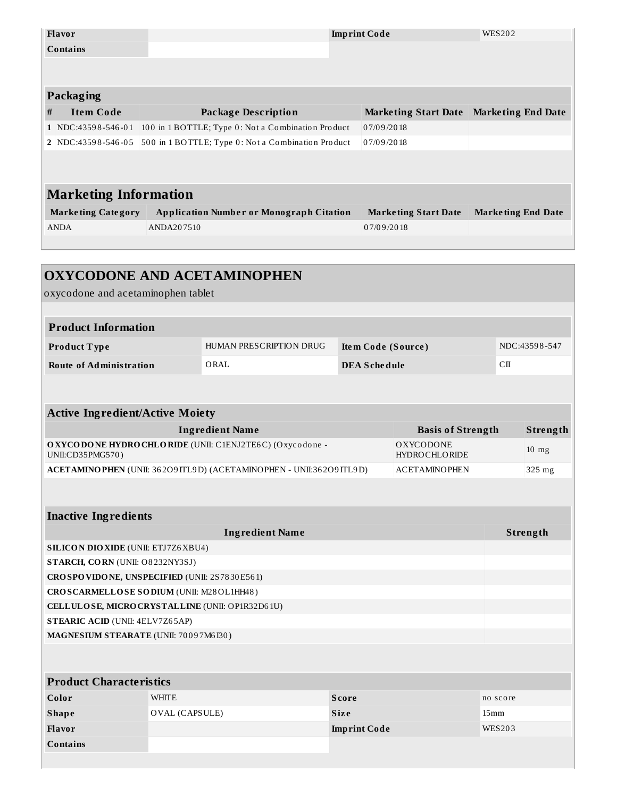|   | <b>Flavor</b>                      |                                                    | <b>Imprint Code</b> |                             | <b>WES202</b>                           |
|---|------------------------------------|----------------------------------------------------|---------------------|-----------------------------|-----------------------------------------|
|   | <b>Contains</b>                    |                                                    |                     |                             |                                         |
|   |                                    |                                                    |                     |                             |                                         |
|   |                                    |                                                    |                     |                             |                                         |
|   | Packaging                          |                                                    |                     |                             |                                         |
| # | <b>Item Code</b>                   | <b>Package Description</b>                         |                     |                             | Marketing Start Date Marketing End Date |
|   | 1 NDC:43598-546-01                 | 100 in 1 BOTTLE; Type 0: Not a Combination Product | 07/09/2018          |                             |                                         |
|   | 2 NDC:43598-546-05                 | 500 in 1 BOTTLE; Type 0: Not a Combination Product | 07/09/2018          |                             |                                         |
|   |                                    |                                                    |                     |                             |                                         |
|   |                                    |                                                    |                     |                             |                                         |
|   |                                    |                                                    |                     |                             |                                         |
|   | <b>Marketing Information</b>       |                                                    |                     |                             |                                         |
|   | <b>Marketing Category</b>          | <b>Application Number or Monograph Citation</b>    |                     | <b>Marketing Start Date</b> | <b>Marketing End Date</b>               |
|   | <b>ANDA</b>                        | ANDA207510                                         | 07/09/2018          |                             |                                         |
|   |                                    |                                                    |                     |                             |                                         |
|   |                                    |                                                    |                     |                             |                                         |
|   | <b>OXYCODONE AND ACETAMINOPHEN</b> |                                                    |                     |                             |                                         |

oxycodone and acetaminophen tablet

| <b>Product Information</b>     |                         |                     |               |  |  |
|--------------------------------|-------------------------|---------------------|---------------|--|--|
| Product Type                   | HUMAN PRESCRIPTION DRUG | Item Code (Source)  | NDC:43598-547 |  |  |
| <b>Route of Administration</b> | ORAL                    | <b>DEA Schedule</b> | CП            |  |  |

| <b>Active Ingredient/Active Moiety</b>                                             |                                          |                  |  |  |
|------------------------------------------------------------------------------------|------------------------------------------|------------------|--|--|
| <b>Ingredient Name</b>                                                             | <b>Basis of Strength</b>                 | Strength         |  |  |
| <b>OXYCODONE HYDROCHLORIDE</b> (UNII: C1ENJ2TE6C) (Oxycodone -<br>UNII:CD35PMG570) | <b>OXYCODONE</b><br><b>HYDROCHLORIDE</b> | $10 \text{ mg}$  |  |  |
| ACETAMINO PHEN (UNII: 36209 ITL9D) (ACETAMINO PHEN - UNII:36209 ITL9D)             | <b>ACETAMINOPHEN</b>                     | $325 \text{ mg}$ |  |  |

| <b>Inactive Ingredients</b>                         |                 |  |  |  |
|-----------------------------------------------------|-----------------|--|--|--|
| <b>Ingredient Name</b>                              | <b>Strength</b> |  |  |  |
| <b>SILICON DIO XIDE</b> (UNII: ETJ7Z6 XBU4)         |                 |  |  |  |
| STARCH, CORN (UNII: O8232NY3SJ)                     |                 |  |  |  |
| <b>CROSPOVIDONE, UNSPECIFIED (UNII: 2S7830E561)</b> |                 |  |  |  |
| CROSCARMELLOSE SODIUM (UNII: M28OL1HH48)            |                 |  |  |  |
| CELLULOSE, MICRO CRYSTALLINE (UNII: OP1R32D61U)     |                 |  |  |  |
| <b>STEARIC ACID (UNII: 4ELV7Z65AP)</b>              |                 |  |  |  |
| <b>MAGNESIUM STEARATE (UNII: 70097M6I30)</b>        |                 |  |  |  |
|                                                     |                 |  |  |  |

| <b>Product Characteristics</b> |                |                     |                  |  |  |
|--------------------------------|----------------|---------------------|------------------|--|--|
| Color                          | <b>WHITE</b>   | Score               | no score         |  |  |
| <b>Shape</b>                   | OVAL (CAPSULE) | <b>Size</b>         | 15 <sub>mm</sub> |  |  |
| <b>Flavor</b>                  |                | <b>Imprint Code</b> | <b>WES203</b>    |  |  |
| <b>Contains</b>                |                |                     |                  |  |  |